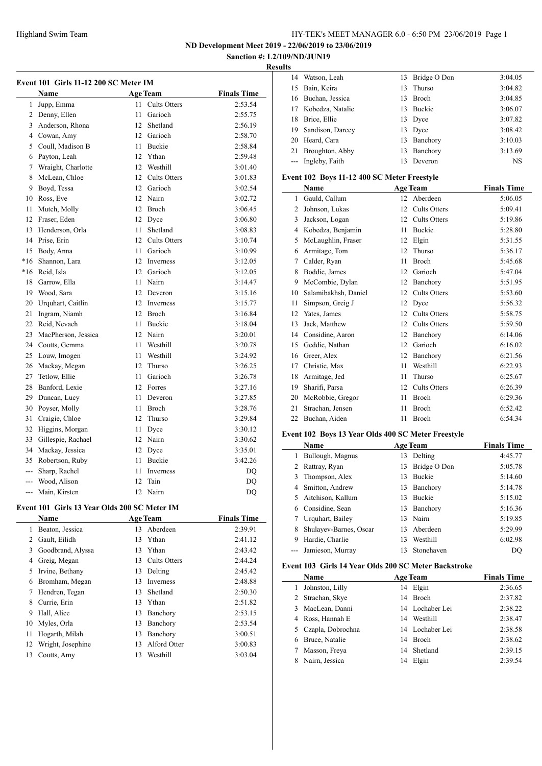**ND Development Meet 2019 - 22/06/2019 to 23/06/2019**

#### **Sanction #: L2/109/ND/JUN19 Results**

 $\overline{\phantom{0}}$ 

| Event 101 Girls 11-12 200 SC Meter IM |                       |                 |                     |                    |
|---------------------------------------|-----------------------|-----------------|---------------------|--------------------|
|                                       | <b>Name</b>           |                 | <b>Age Team</b>     | <b>Finals Time</b> |
| 1                                     | Jupp, Emma            | 11              | <b>Cults Otters</b> | 2:53.54            |
|                                       | 2 Denny, Ellen        | 11              | Garioch             | 2:55.75            |
|                                       | 3 Anderson, Rhona     | 12 <sup>1</sup> | Shetland            | 2:56.19            |
|                                       | 4 Cowan, Amy          |                 | 12 Garioch          | 2:58.70            |
|                                       | 5 Coull, Madison B    | 11              | Buckie              | 2:58.84            |
|                                       | 6 Payton, Leah        |                 | 12 Ythan            | 2:59.48            |
|                                       | 7 Wraight, Charlotte  |                 | 12 Westhill         | 3:01.40            |
|                                       | 8 McLean, Chloe       |                 | 12 Cults Otters     | 3:01.83            |
|                                       | 9 Boyd, Tessa         |                 | 12 Garioch          | 3:02.54            |
|                                       | 10 Ross, Eve          |                 | 12 Nairn            | 3:02.72            |
| 11                                    | Mutch, Molly          |                 | 12 Broch            | 3:06.45            |
|                                       | 12 Fraser, Eden       |                 | 12 Dyce             | 3:06.80            |
|                                       | 13 Henderson, Orla    | 11              | Shetland            | 3:08.83            |
|                                       | 14 Prise, Erin        |                 | 12 Cults Otters     | 3:10.74            |
|                                       | 15 Body, Anna         | 11              | Garioch             | 3:10.99            |
|                                       | *16 Shannon, Lara     |                 | 12 Inverness        | 3:12.05            |
|                                       | *16 Reid, Isla        |                 | 12 Garioch          | 3:12.05            |
|                                       | 18 Garrow, Ella       | 11              | Nairn               | 3:14.47            |
|                                       | 19 Wood, Sara         | 12 <sup>2</sup> | Deveron             | 3:15.16            |
|                                       | 20 Urquhart, Caitlin  |                 | 12 Inverness        | 3:15.77            |
|                                       | 21 Ingram, Niamh      |                 | 12 Broch            | 3:16.84            |
|                                       | 22 Reid, Nevaeh       | 11              | Buckie              | 3:18.04            |
| 23                                    | MacPherson, Jessica   |                 | 12 Nairn            | 3:20.01            |
|                                       | 24 Coutts, Gemma      | 11              | Westhill            | 3:20.78            |
|                                       | 25 Louw, Imogen       | 11              | Westhill            | 3:24.92            |
|                                       | 26 Mackay, Megan      | 12              | Thurso              | 3:26.25            |
|                                       | 27 Tetlow, Ellie      | 11              | Garioch             | 3:26.78            |
| 28                                    | Banford, Lexie        | 12.             | Forres              | 3:27.16            |
| 29                                    | Duncan, Lucy          | 11              | Deveron             | 3:27.85            |
| 30                                    | Poyser, Molly         | 11              | <b>Broch</b>        | 3:28.76            |
| 31                                    | Craigie, Chloe        | 12              | Thurso              | 3:29.84            |
|                                       | 32 Higgins, Morgan    | 11              | Dyce                | 3:30.12            |
|                                       | 33 Gillespie, Rachael |                 | 12 Nairn            | 3:30.62            |
|                                       | 34 Mackay, Jessica    |                 | 12 Dyce             | 3:35.01            |
|                                       | 35 Robertson, Ruby    | 11              | <b>Buckie</b>       | 3:42.26            |
|                                       | --- Sharp, Rachel     | 11              | Inverness           | DQ                 |
|                                       | --- Wood, Alison      | 12              | Tain                | DQ                 |
|                                       | --- Main, Kirsten     | 12              | Nairn               | DQ                 |
|                                       |                       |                 |                     |                    |

# **Event 101 Girls 13 Year Olds 200 SC Meter IM**

 $\overline{a}$ 

|               | <b>Name</b>       |     | <b>Age Team</b> | <b>Finals Time</b> |
|---------------|-------------------|-----|-----------------|--------------------|
| 1             | Beaton, Jessica   | 13  | Aberdeen        | 2:39.91            |
| $\mathcal{L}$ | Gault, Eilidh     | 13. | Ythan           | 2:41.12            |
| 3             | Goodbrand, Alyssa |     | 13 Ythan        | 2:43.42            |
| 4             | Greig, Megan      | 13  | Cults Otters    | 2:44.24            |
| 5             | Irvine, Bethany   | 13  | Delting         | 2:45.42            |
| 6             | Bromham, Megan    | 13  | Inverness       | 2:48.88            |
| 7             | Hendren, Tegan    | 13  | Shetland        | 2:50.30            |
| 8             | Currie, Erin      | 13  | Ythan           | 2:51.82            |
| 9             | Hall, Alice       | 13  | Banchory        | 2:53.15            |
| 10            | Myles, Orla       | 13  | Banchory        | 2:53.54            |
| 11            | Hogarth, Milah    | 13  | Banchory        | 3:00.51            |
| 12            | Wright, Josephine | 13  | Alford Otter    | 3:00.83            |
| 13            | Coutts, Amy       | 13  | Westhill        | 3:03.04            |
|               |                   |     |                 |                    |

| 14 | Watson, Leah       | 13  | Bridge O Don | 3:04.05   |
|----|--------------------|-----|--------------|-----------|
| 15 | Bain, Keira        | 13  | Thurso       | 3:04.82   |
| 16 | Buchan, Jessica    | 13. | <b>Broch</b> | 3:04.85   |
|    | Kobedza, Natalie   | 13. | Buckie       | 3:06.07   |
| 18 | Brice, Ellie       |     | 13 Dyce      | 3:07.82   |
| 19 | Sandison, Darcey   |     | 13 Dyce      | 3:08.42   |
| 20 | Heard, Cara        | 13  | Banchory     | 3:10.03   |
| 21 | Broughton, Abby    | 13  | Banchory     | 3:13.69   |
|    | --- Ingleby, Faith | 13  | Deveron      | <b>NS</b> |
|    |                    |     |              |           |

### **Event 102 Boys 11-12 400 SC Meter Freestyle**

|    | Name                 |    | <b>Age Team</b>     | <b>Finals Time</b> |
|----|----------------------|----|---------------------|--------------------|
| 1  | Gauld, Callum        | 12 | Aberdeen            | 5:06.05            |
| 2  | Johnson, Lukas       | 12 | <b>Cults Otters</b> | 5:09.41            |
| 3  | Jackson, Logan       | 12 | <b>Cults Otters</b> | 5:19.86            |
| 4  | Kobedza, Benjamin    | 11 | <b>Buckie</b>       | 5:28.80            |
| 5  | McLaughlin, Fraser   | 12 | Elgin               | 5:31.55            |
| 6  | Armitage, Tom        | 12 | Thurso              | 5:36.17            |
| 7  | Calder, Ryan         | 11 | <b>Broch</b>        | 5:45.68            |
| 8  | Boddie, James        | 12 | Garioch             | 5:47.04            |
| 9  | McCombie, Dylan      | 12 | Banchory            | 5:51.95            |
| 10 | Salamibakhsh, Daniel | 12 | <b>Cults Otters</b> | 5:53.60            |
| 11 | Simpson, Greig J     | 12 | Dyce                | 5:56.32            |
| 12 | Yates, James         | 12 | <b>Cults Otters</b> | 5:58.75            |
| 13 | Jack, Matthew        | 12 | <b>Cults Otters</b> | 5:59.50            |
| 14 | Considine, Aaron     | 12 | Banchory            | 6:14.06            |
| 15 | Geddie, Nathan       | 12 | Garioch             | 6:16.02            |
| 16 | Greer, Alex          | 12 | Banchory            | 6:21.56            |
| 17 | Christie, Max        | 11 | Westhill            | 6:22.93            |
| 18 | Armitage, Jed        | 11 | Thurso              | 6:25.67            |
| 19 | Sharifi, Parsa       | 12 | <b>Cults Otters</b> | 6:26.39            |
| 20 | McRobbie, Gregor     | 11 | <b>Broch</b>        | 6:29.36            |
| 21 | Strachan, Jensen     | 11 | Broch               | 6:52.42            |
| 22 | Buchan, Aiden        | 11 | Broch               | 6:54.34            |

# **Event 102 Boys 13 Year Olds 400 SC Meter Freestyle**

|   | <b>Name</b>            |     | <b>Age Team</b> | <b>Finals Time</b> |
|---|------------------------|-----|-----------------|--------------------|
| 1 | Bullough, Magnus       | 13. | Delting         | 4:45.77            |
|   | 2 Rattray, Ryan        | 13  | Bridge O Don    | 5:05.78            |
| 3 | Thompson, Alex         | 13  | <b>Buckie</b>   | 5:14.60            |
| 4 | Smitton, Andrew        | 13  | Banchory        | 5:14.78            |
|   | Aitchison, Kallum      | 13  | <b>Buckie</b>   | 5:15.02            |
| 6 | Considine, Sean        | 13  | Banchory        | 5:16.36            |
|   | Urquhart, Bailey       | 13. | Nairn           | 5:19.85            |
| 8 | Shulayev-Barnes, Oscar | 13  | Aberdeen        | 5:29.99            |
| 9 | Hardie, Charlie        | 13  | Westhill        | 6:02.98            |
|   | Jamieson, Murray       | 13  | Stonehaven      | DO                 |

# **Event 103 Girls 14 Year Olds 200 SC Meter Backstroke**

|    | Name              |    | <b>Age Team</b> | <b>Finals Time</b> |
|----|-------------------|----|-----------------|--------------------|
|    | Johnston, Lilly   |    | 14 Elgin        | 2:36.65            |
|    | 2 Strachan, Skye  |    | 14 Broch        | 2:37.82            |
| 3. | MacLean, Danni    |    | 14 Lochaber Lei | 2:38.22            |
| 4  | Ross, Hannah E    | 14 | Westhill        | 2:38.47            |
| 5. | Czapla, Dobrochna |    | 14 Lochaber Lei | 2:38.58            |
| 6  | Bruce, Natalie    |    | 14 Broch        | 2:38.62            |
|    | Masson, Freya     |    | 14 Shetland     | 2:39.15            |
|    | Nairn, Jessica    | 14 | Elgin           | 2:39.54            |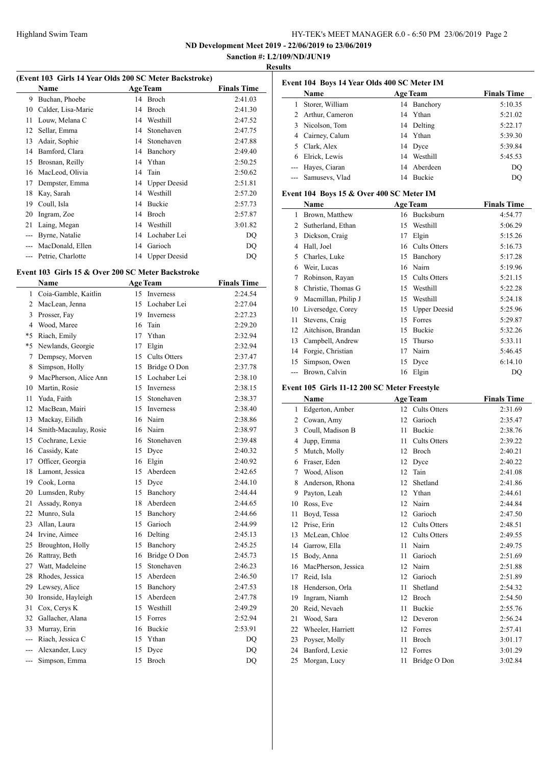$\overline{a}$ 

# HY-TEK's MEET MANAGER 6.0 - 6:50 PM 23/06/2019 Page 2

**ND Development Meet 2019 - 22/06/2019 to 23/06/2019**

# **Sanction #: L2/109/ND/JUN19 Results**

| (Event 103 Girls 14 Year Olds 200 SC Meter Backstroke) |                    |    |                     |                    |  |
|--------------------------------------------------------|--------------------|----|---------------------|--------------------|--|
|                                                        | <b>Name</b>        |    | <b>Age Team</b>     | <b>Finals Time</b> |  |
| 9                                                      | Buchan, Phoebe     | 14 | Broch               | 2:41.03            |  |
| 10                                                     | Calder, Lisa-Marie | 14 | Broch               | 2:41.30            |  |
| 11                                                     | Louw, Melana C     | 14 | Westhill            | 2:47.52            |  |
| 12                                                     | Sellar, Emma       | 14 | Stonehaven          | 2:47.75            |  |
| 13                                                     | Adair, Sophie      | 14 | Stonehaven          | 2:47.88            |  |
| 14                                                     | Bamford, Clara     | 14 | Banchory            | 2:49.40            |  |
| 15                                                     | Brosnan, Reilly    | 14 | Ythan               | 2:50.25            |  |
| 16                                                     | MacLeod, Olivia    | 14 | Tain                | 2:50.62            |  |
| 17                                                     | Dempster, Emma     | 14 | <b>Upper Deesid</b> | 2:51.81            |  |
| 18                                                     | Kay, Sarah         | 14 | Westhill            | 2:57.20            |  |
| 19                                                     | Coull, Isla        | 14 | Buckie              | 2:57.73            |  |
| 20                                                     | Ingram, Zoe        | 14 | Broch               | 2:57.87            |  |
| 21                                                     | Laing, Megan       | 14 | Westhill            | 3:01.82            |  |
| ---                                                    | Byrne, Natalie     | 14 | Lochaber Lei        | DQ                 |  |
| $---$                                                  | MacDonald, Ellen   | 14 | Garioch             | DQ                 |  |
| $---$                                                  | Petrie, Charlotte  |    | 14 Upper Deesid     | DQ                 |  |

# **Event 103 Girls 15 & Over 200 SC Meter Backstroke**

|                | Name                  |    | <b>Age Team</b>  | <b>Finals Time</b> |
|----------------|-----------------------|----|------------------|--------------------|
| 1              | Coia-Gamble, Kaitlin  | 15 | Inverness        | 2:24.54            |
| $\overline{2}$ | MacLean, Jenna        | 15 | Lochaber Lei     | 2:27.04            |
| 3              | Prosser, Fay          | 19 | <b>Inverness</b> | 2:27.23            |
|                | 4 Wood, Maree         | 16 | Tain             | 2:29.20            |
| *5             | Riach, Emily          | 17 | Ythan            | 2:32.94            |
| $*5$           | Newlands, Georgie     | 17 | Elgin            | 2:32.94            |
| 7              | Dempsey, Morven       | 15 | Cults Otters     | 2:37.47            |
| 8              | Simpson, Holly        | 15 | Bridge O Don     | 2:37.78            |
| 9              | MacPherson, Alice Ann | 15 | Lochaber Lei     | 2:38.10            |
| 10             | Martin, Rosie         | 15 | <b>Inverness</b> | 2:38.15            |
| 11             | Yuda, Faith           | 15 | Stonehaven       | 2:38.37            |
| 12             | MacBean, Mairi        | 15 | <b>Inverness</b> | 2:38.40            |
| 13             | Mackay, Eilidh        | 16 | Nairn            | 2:38.86            |
| 14             | Smith-Macaulay, Rosie | 16 | Nairn            | 2:38.97            |
| 15             | Cochrane, Lexie       | 16 | Stonehaven       | 2:39.48            |
|                | 16 Cassidy, Kate      | 15 | Dyce             | 2:40.32            |
| 17             | Officer, Georgia      | 16 | Elgin            | 2:40.92            |
| 18             | Lamont, Jessica       | 15 | Aberdeen         | 2:42.65            |
|                | 19 Cook, Lorna        | 15 | Dyce             | 2:44.10            |
| 20             | Lumsden, Ruby         | 15 | Banchory         | 2:44.44            |
| 21             | Assady, Ronya         | 18 | Aberdeen         | 2:44.65            |
| 22             | Munro, Sula           | 15 | Banchory         | 2:44.66            |
| 23             | Allan, Laura          | 15 | Garioch          | 2:44.99            |
| 24             | Irvine, Aimee         | 16 | Delting          | 2:45.13            |
| 25             | Broughton, Holly      | 15 | Banchory         | 2:45.25            |
| 26             | Rattray, Beth         | 16 | Bridge O Don     | 2:45.73            |
| 27             | Watt, Madeleine       | 15 | Stonehaven       | 2:46.23            |
| 28             | Rhodes, Jessica       | 15 | Aberdeen         | 2:46.50            |
| 29             | Lewsey, Alice         | 15 | Banchory         | 2:47.53            |
| 30             | Ironside, Hayleigh    | 15 | Aberdeen         | 2:47.78            |
| 31             | Cox, Cerys K          | 15 | Westhill         | 2:49.29            |
| 32             | Gallacher, Alana      | 15 | Forres           | 2:52.94            |
| 33             | Murray, Erin          | 16 | <b>Buckie</b>    | 2:53.91            |
| ---            | Riach, Jessica C      | 15 | Ythan            | DQ                 |
| ---            | Alexander, Lucy       | 15 | Dyce             | DQ                 |
| ---            | Simpson, Emma         | 15 | <b>Broch</b>     | DQ                 |

|                | Event 104 Boys 14 Year Olds 400 SC Meter IM |    |                     |                    |  |  |
|----------------|---------------------------------------------|----|---------------------|--------------------|--|--|
|                | Name                                        |    | <b>Age Team</b>     | <b>Finals Time</b> |  |  |
| $\mathbf{1}$   | Storer, William                             |    | 14 Banchory         | 5:10.35            |  |  |
| 2              | Arthur, Cameron                             | 14 | Ythan               | 5:21.02            |  |  |
|                | 3 Nicolson, Tom                             | 14 | Delting             | 5:22.17            |  |  |
| 4              | Cairney, Calum                              | 14 | Ythan               | 5:39.30            |  |  |
| $\overline{5}$ | Clark, Alex                                 | 14 | Dyce                | 5:39.84            |  |  |
| 6              | Elrick, Lewis                               | 14 | Westhill            | 5:45.53            |  |  |
| $---$          | Hayes, Ciaran                               | 14 | Aberdeen            | DO                 |  |  |
| $---$          | Samusevs, Vlad                              |    | 14 Buckie           | DO                 |  |  |
|                | Event 104 Boys 15 & Over 400 SC Meter IM    |    |                     |                    |  |  |
|                | <b>Name</b>                                 |    | <b>Age Team</b>     | <b>Finals Time</b> |  |  |
| 1              | Brown, Matthew                              |    | 16 Bucksburn        | 4:54.77            |  |  |
| $\overline{2}$ | Sutherland, Ethan                           | 15 | Westhill            | 5:06.29            |  |  |
| 3              | Dickson, Craig                              | 17 | Elgin               | 5:15.26            |  |  |
| 4              | Hall, Joel                                  |    | 16 Cults Otters     | 5:16.73            |  |  |
| 5              | Charles, Luke                               | 15 | Banchory            | 5:17.28            |  |  |
| 6              | Weir, Lucas                                 | 16 | Nairn               | 5:19.96            |  |  |
| 7              | Robinson, Rayan                             | 15 | <b>Cults Otters</b> | 5:21.15            |  |  |
| 8              | Christie, Thomas G                          | 15 | Westhill            | 5:22.28            |  |  |
| 9              | Macmillan, Philip J                         |    | 15 Westhill         | 5:24.18            |  |  |
| 10             | Liversedge, Corey                           | 15 | <b>Upper Deesid</b> | 5:25.96            |  |  |
| 11             | Stevens, Craig                              | 15 | Forres              | 5:29.87            |  |  |
| 12             | Aitchison, Brandan                          | 15 | <b>Buckie</b>       | 5:32.26            |  |  |
| 13             | Campbell, Andrew                            | 15 | Thurso              | 5:33.11            |  |  |
| 14             | Forgie, Christian                           | 17 | Nairn               | 5:46.45            |  |  |
| 15             | Simpson, Owen                               | 15 | Dyce                | 6:14.10            |  |  |
| ---            | Brown, Calvin                               | 16 | Elgin               | DQ                 |  |  |

## **Event 105 Girls 11-12 200 SC Meter Freestyle**

|    | Name                |    | <b>Age Team</b>     | <b>Finals Time</b> |
|----|---------------------|----|---------------------|--------------------|
| 1  | Edgerton, Amber     | 12 | <b>Cults Otters</b> | 2:31.69            |
| 2  | Cowan, Amy          | 12 | Garioch             | 2:35.47            |
| 3  | Coull, Madison B    | 11 | <b>Buckie</b>       | 2:38.76            |
| 4  | Jupp, Emma          | 11 | <b>Cults Otters</b> | 2:39.22            |
| 5  | Mutch, Molly        | 12 | Broch               | 2:40.21            |
| 6  | Fraser, Eden        | 12 | Dyce                | 2:40.22            |
| 7  | Wood, Alison        | 12 | Tain                | 2:41.08            |
| 8  | Anderson, Rhona     | 12 | Shetland            | 2:41.86            |
| 9  | Payton, Leah        | 12 | Ythan               | 2:44.61            |
| 10 | Ross, Eve           | 12 | Nairn               | 2:44.84            |
| 11 | Boyd, Tessa         | 12 | Garioch             | 2:47.50            |
| 12 | Prise, Erin         | 12 | <b>Cults Otters</b> | 2:48.51            |
| 13 | McLean, Chloe       | 12 | <b>Cults Otters</b> | 2:49.55            |
| 14 | Garrow, Ella        | 11 | Nairn               | 2:49.75            |
| 15 | Body, Anna          | 11 | Garioch             | 2:51.69            |
| 16 | MacPherson, Jessica | 12 | Nairn               | 2:51.88            |
| 17 | Reid, Isla          | 12 | Garioch             | 2:51.89            |
| 18 | Henderson, Orla     | 11 | Shetland            | 2:54.32            |
| 19 | Ingram, Niamh       | 12 | <b>Broch</b>        | 2:54.50            |
| 20 | Reid, Nevaeh        | 11 | <b>Buckie</b>       | 2:55.76            |
| 21 | Wood, Sara          | 12 | Deveron             | 2:56.24            |
| 22 | Wheeler, Harriett   | 12 | Forres              | 2:57.41            |
| 23 | Poyser, Molly       | 11 | Broch               | 3:01.17            |
| 24 | Banford, Lexie      | 12 | Forres              | 3:01.29            |
| 25 | Morgan, Lucy        | 11 | Bridge O Don        | 3:02.84            |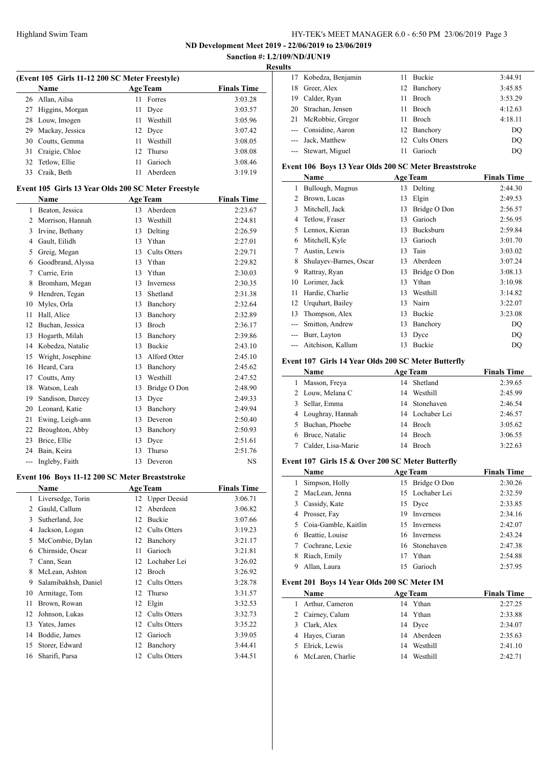**ND Development Meet 2019 - 22/06/2019 to 23/06/2019**

#### **Sanction #: L2/109/ND/JUN19 Results**

 $\equiv$ 

 $\frac{1}{2}$ 

| (Event 105 Girls 11-12 200 SC Meter Freestyle) |                    |    |                 |                    |  |
|------------------------------------------------|--------------------|----|-----------------|--------------------|--|
|                                                | Name               |    | <b>Age Team</b> | <b>Finals Time</b> |  |
|                                                | 26 Allan, Ailsa    | 11 | Forres          | 3:03.28            |  |
|                                                | 27 Higgins, Morgan | 11 | Dyce            | 3:03.57            |  |
|                                                | 28 Louw, Imogen    | 11 | Westhill        | 3:05.96            |  |
| 29                                             | Mackay, Jessica    |    | 12 Dyce         | 3:07.42            |  |
|                                                | 30 Coutts, Gemma   | 11 | Westhill        | 3:08.05            |  |
| 31                                             | Craigie, Chloe     |    | 12 Thurso       | 3:08.08            |  |
|                                                | 32 Tetlow, Ellie   | 11 | Garioch         | 3:08.46            |  |
|                                                | 33 Craik, Beth     | 11 | Aberdeen        | 3:19.19            |  |

#### **Event 105 Girls 13 Year Olds 200 SC Meter Freestyle**

|                | <b>Name</b>       | <b>Age Team</b> |                     | <b>Finals Time</b> |
|----------------|-------------------|-----------------|---------------------|--------------------|
| 1              | Beaton, Jessica   | 13              | Aberdeen            | 2:23.67            |
| $\overline{c}$ | Morrison, Hannah  | 13              | Westhill            | 2:24.81            |
| 3              | Irvine, Bethany   | 13              | Delting             | 2:26.59            |
| 4              | Gault, Eilidh     | 13              | Ythan               | 2:27.01            |
| 5              | Greig, Megan      | 13              | <b>Cults Otters</b> | 2:29.71            |
| 6              | Goodbrand, Alyssa | 13              | Ythan               | 2:29.82            |
| 7              | Currie, Erin      | 13              | Ythan               | 2:30.03            |
| 8              | Bromham, Megan    | 13              | <b>Inverness</b>    | 2:30.35            |
| 9              | Hendren, Tegan    | 13              | Shetland            | 2:31.38            |
| 10             | Myles, Orla       | 13              | Banchory            | 2:32.64            |
| 11             | Hall, Alice       | 13              | Banchory            | 2:32.89            |
| 12             | Buchan, Jessica   | 13              | <b>Broch</b>        | 2:36.17            |
| 13             | Hogarth, Milah    | 13              | Banchory            | 2:39.86            |
| 14             | Kobedza, Natalie  | 13              | <b>Buckie</b>       | 2:43.10            |
| 15             | Wright, Josephine | 13              | Alford Otter        | 2:45.10            |
| 16             | Heard, Cara       | 13              | Banchory            | 2:45.62            |
| 17             | Coutts, Amy       | 13              | Westhill            | 2:47.52            |
| 18             | Watson, Leah      | 13              | Bridge O Don        | 2:48.90            |
| 19             | Sandison, Darcey  | 13              | Dyce                | 2:49.33            |
| 20             | Leonard, Katie    | 13              | Banchory            | 2:49.94            |
| 21             | Ewing, Leigh-ann  | 13              | Deveron             | 2:50.40            |
| 22             | Broughton, Abby   | 13              | Banchory            | 2:50.93            |
| 23             | Brice, Ellie      | 13              | Dyce                | 2:51.61            |
| 24             | Bain, Keira       | 13              | Thurso              | 2:51.76            |
| ---            | Ingleby, Faith    | 13              | Deveron             | <b>NS</b>          |

#### **Event 106 Boys 11-12 200 SC Meter Breaststroke**

|    | Name                 |    | <b>Age Team</b>     | <b>Finals Time</b> |
|----|----------------------|----|---------------------|--------------------|
| 1  | Liversedge, Torin    |    | 12 Upper Deesid     | 3:06.71            |
| 2  | Gauld, Callum        | 12 | Aberdeen            | 3:06.82            |
| 3  | Sutherland, Joe      | 12 | <b>Buckie</b>       | 3:07.66            |
| 4  | Jackson, Logan       | 12 | Cults Otters        | 3:19.23            |
| 5  | McCombie, Dylan      | 12 | Banchory            | 3:21.17            |
| 6  | Chirnside, Oscar     | 11 | Garioch             | 3:21.81            |
| 7  | Cann, Sean           | 12 | Lochaber Lei        | 3:26.02            |
| 8  | McLean, Ashton       | 12 | <b>Broch</b>        | 3:26.92            |
| 9  | Salamibakhsh, Daniel | 12 | <b>Cults Otters</b> | 3:28.78            |
| 10 | Armitage, Tom        | 12 | Thurso              | 3:31.57            |
| 11 | Brown, Rowan         | 12 | Elgin               | 3:32.53            |
| 12 | Johnson, Lukas       | 12 | Cults Otters        | 3:32.73            |
| 13 | Yates, James         | 12 | <b>Cults Otters</b> | 3:35.22            |
| 14 | Boddie, James        | 12 | Garioch             | 3:39.05            |
| 15 | Storer, Edward       | 12 | Banchory            | 3:44.41            |
| 16 | Sharifi, Parsa       | 12 | Cults Otters        | 3:44.51            |

| 17 Kobedza, Benjamin |     | 11 Buckie       | 3:44.91 |
|----------------------|-----|-----------------|---------|
| 18 Greer, Alex       |     | 12 Banchory     | 3:45.85 |
| 19 Calder, Ryan      | 11. | <b>Broch</b>    | 3:53.29 |
| 20 Strachan, Jensen  | 11. | Broch           | 4:12.63 |
| 21 McRobbie, Gregor  | 11. | Broch           | 4:18.11 |
| --- Considine, Aaron |     | 12 Banchory     | DO      |
| --- Jack, Matthew    |     | 12 Cults Otters | DO      |
| --- Stewart, Miguel  | 11  | Garioch         | DO      |

## **Event 106 Boys 13 Year Olds 200 SC Meter Breaststroke**

|    | Name                   |    | <b>Age Team</b>  | <b>Finals Time</b> |
|----|------------------------|----|------------------|--------------------|
| 1  | Bullough, Magnus       | 13 | Delting          | 2:44.30            |
| 2  | Brown, Lucas           | 13 | Elgin            | 2:49.53            |
| 3  | Mitchell, Jack         | 13 | Bridge O Don     | 2:56.57            |
| 4  | Tetlow, Fraser         | 13 | Garioch          | 2:56.95            |
| 5  | Lennox, Kieran         | 13 | <b>Bucksburn</b> | 2:59.84            |
| 6  | Mitchell, Kyle         | 13 | Garioch          | 3:01.70            |
| 7  | Austin, Lewis          | 13 | Tain             | 3:03.02            |
| 8  | Shulayev-Barnes, Oscar | 13 | Aberdeen         | 3:07.24            |
| 9  | Rattray, Ryan          | 13 | Bridge O Don     | 3:08.13            |
| 10 | Lorimer, Jack          | 13 | Ythan            | 3:10.98            |
| 11 | Hardie, Charlie        | 13 | Westhill         | 3:14.82            |
| 12 | Urquhart, Bailey       | 13 | Nairn            | 3:22.07            |
| 13 | Thompson, Alex         | 13 | Buckie           | 3:23.08            |
|    | Smitton, Andrew        | 13 | Banchory         | DQ                 |
|    | Burr, Layton           | 13 | Dyce             | DO                 |
|    | Aitchison, Kallum      | 13 | Buckie           | DO                 |

### **Event 107 Girls 14 Year Olds 200 SC Meter Butterfly**

| Name               |    | <b>Age Team</b> | <b>Finals Time</b> |
|--------------------|----|-----------------|--------------------|
| Masson, Freya      |    | 14 Shetland     | 2:39.65            |
| 2 Louw, Melana C   | 14 | Westhill        | 2:45.99            |
| Sellar, Emma       |    | 14 Stonehaven   | 2:46.54            |
| 4 Loughray, Hannah |    | 14 Lochaber Lei | 2:46.57            |
| Buchan, Phoebe     |    | 14 Broch        | 3:05.62            |
| Bruce, Natalie     | 14 | Broch           | 3:06.55            |
| Calder, Lisa-Marie | 14 | <b>Broch</b>    | 3:22.63            |

### **Event 107 Girls 15 & Over 200 SC Meter Butterfly**

|   | <b>Name</b>          | <b>Age Team</b> |                 | <b>Finals Time</b> |
|---|----------------------|-----------------|-----------------|--------------------|
|   | Simpson, Holly       |                 | 15 Bridge O Don | 2:30.26            |
|   | 2 MacLean, Jenna     |                 | 15 Lochaber Lei | 2:32.59            |
| 3 | Cassidy, Kate        |                 | 15 Dyce         | 2:33.85            |
| 4 | Prosser, Fay         | 19              | Inverness       | 2:34.16            |
|   | Coia-Gamble, Kaitlin |                 | 15 Inverness    | 2:42.07            |
| 6 | Beattie, Louise      |                 | 16 Inverness    | 2:43.24            |
|   | Cochrane, Lexie      |                 | 16 Stonehaven   | 2:47.38            |
| 8 | Riach, Emily         |                 | Ythan           | 2:54.88            |
|   | Allan, Laura         | 15              | Garioch         | 2:57.95            |

#### **Event 201 Boys 14 Year Olds 200 SC Meter IM**

|   | Name             |    | <b>Age Team</b> | <b>Finals Time</b> |
|---|------------------|----|-----------------|--------------------|
| 1 | Arthur, Cameron  |    | 14 Ythan        | 2:27.25            |
|   | 2 Cairney, Calum |    | 14 Ythan        | 2:33.88            |
|   | 3 Clark, Alex    |    | 14 Dyce         | 2:34.07            |
|   | 4 Hayes, Ciaran  |    | 14 Aberdeen     | 2:35.63            |
|   | 5 Elrick, Lewis  |    | 14 Westhill     | 2:41.10            |
|   | McLaren, Charlie | 14 | Westhill        | 2:42.71            |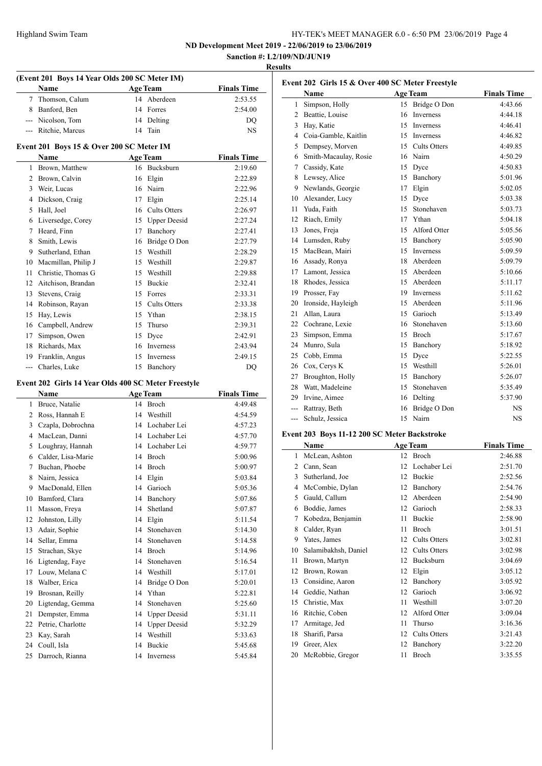**ND Development Meet 2019 - 22/06/2019 to 23/06/2019 Sanction #: L2/109/ND/JUN19**

# **Results**

| (Event 201 Boys 14 Year Olds 200 SC Meter IM) |                                                     |                 |                       |                    |
|-----------------------------------------------|-----------------------------------------------------|-----------------|-----------------------|--------------------|
|                                               | Name                                                | <b>Age Team</b> |                       | <b>Finals Time</b> |
| 7                                             | Thomson, Calum                                      |                 | 14 Aberdeen           | 2:53.55            |
| 8                                             | Banford, Ben                                        |                 | 14 Forres             | 2:54.00            |
|                                               | --- Nicolson, Tom                                   |                 | 14 Delting            | DQ                 |
|                                               | --- Ritchie, Marcus                                 |                 | 14 Tain               | NS                 |
|                                               | Event 201 Boys 15 & Over 200 SC Meter IM            |                 |                       |                    |
|                                               | Name                                                |                 | <b>Age Team</b>       | <b>Finals Time</b> |
| 1                                             | Brown, Matthew                                      |                 | 16 Bucksburn          | 2:19.60            |
|                                               | 2 Brown, Calvin                                     |                 | 16 Elgin              | 2:22.89            |
| 3                                             | Weir, Lucas                                         |                 | 16 Nairn              | 2:22.96            |
| 4                                             | Dickson, Craig                                      |                 | 17 Elgin              | 2:25.14            |
| 5                                             | Hall, Joel                                          |                 | 16 Cults Otters       | 2:26.97            |
| 6                                             | Liversedge, Corey                                   |                 | 15 Upper Deesid       | 2:27.24            |
| 7                                             | Heard, Finn                                         |                 | 17 Banchory           | 2:27.41            |
| 8                                             | Smith, Lewis                                        |                 | 16 Bridge O Don       | 2:27.79            |
| 9                                             | Sutherland, Ethan                                   |                 | 15 Westhill           | 2:28.29            |
| 10                                            | Macmillan, Philip J                                 |                 | 15 Westhill           | 2:29.87            |
| 11                                            | Christie, Thomas G                                  |                 | 15 Westhill           | 2:29.88            |
|                                               | 12 Aitchison, Brandan                               |                 | 15 Buckie             | 2:32.41            |
| 13                                            | Stevens, Craig                                      |                 | 15 Forres             | 2:33.31            |
| 14                                            | Robinson, Rayan                                     |                 | 15 Cults Otters       | 2:33.38            |
| 15                                            | Hay, Lewis                                          |                 | 15 Ythan              | 2:38.15            |
| 16                                            | Campbell, Andrew                                    |                 | 15 Thurso             | 2:39.31            |
| 17                                            | Simpson, Owen                                       |                 | 15 Dyce               | 2:42.91            |
|                                               | 18 Richards, Max                                    |                 | 16 Inverness          | 2:43.94            |
| 19                                            | Franklin, Angus                                     | 15              | Inverness             | 2:49.15            |
| $\overline{a}$                                | Charles, Luke                                       | 15              | Banchory              | DQ                 |
|                                               | Event 202 Girls 14 Year Olds 400 SC Meter Freestyle |                 |                       |                    |
|                                               | Name                                                |                 | <b>Age Team</b>       | <b>Finals Time</b> |
| 1                                             | Bruce, Natalie                                      |                 | 14 Broch              | 4:49.48            |
|                                               | 2 Ross, Hannah E                                    |                 | 14 Westhill           | 4:54.59            |
|                                               | 3 Czapla, Dobrochna                                 |                 | 14 Lochaber Lei       | 4:57.23            |
|                                               | 4 MacLean, Danni                                    |                 | 14 Lochaber Lei       | 4:57.70            |
|                                               | 5 Loughray, Hannah                                  |                 | 14 Lochaber Lei       | 4:59.77            |
|                                               | 6 Calder, Lisa-Marie                                |                 | 14 Broch              | 5:00.96            |
|                                               | 7 Buchan, Phoebe                                    |                 | 14 Broch              | 5:00.97            |
|                                               | 8 Nairn, Jessica                                    |                 | 14 Elgin              | 5:03.84            |
| 9                                             | MacDonald, Ellen                                    | 14              | Garioch               | 5:05.36            |
| 10                                            | Bamford, Clara                                      | 14              | Banchory              | 5:07.86            |
| 11                                            | Masson, Freya                                       | 14              | Shetland              | 5:07.87            |
| 12                                            | Johnston, Lilly                                     | 14              | Elgin                 | 5:11.54            |
| 13                                            | Adair, Sophie                                       | 14              | Stonehaven            | 5:14.30            |
| 14                                            | Sellar, Emma                                        | 14              | Stonehaven            | 5:14.58            |
| 15                                            | Strachan, Skye                                      | 14              | Broch                 | 5:14.96            |
| 16                                            | Ligtendag, Faye                                     | 14<br>14        | Stonehaven            | 5:16.54            |
| 17                                            | Louw, Melana C                                      |                 | Westhill              | 5:17.01            |
| 18<br>19                                      | Walber, Erica<br>Brosnan, Reilly                    | 14<br>14        | Bridge O Don<br>Ythan | 5:20.01            |
|                                               |                                                     | 14              | Stonehaven            | 5:22.81            |
| 20<br>21                                      | Ligtendag, Gemma<br>Dempster, Emma                  |                 | 14 Upper Deesid       | 5:25.60<br>5:31.11 |
| 22                                            | Petrie, Charlotte                                   | 14              | <b>Upper Deesid</b>   | 5:32.29            |
| 23                                            | Kay, Sarah                                          | 14              | Westhill              | 5:33.63            |
| 24                                            | Coull, Isla                                         | 14              | Buckie                | 5:45.68            |
| 25                                            | Darroch, Rianna                                     | 14              | Inverness             | 5:45.84            |
|                                               |                                                     |                 |                       |                    |

| Event 202 Girls 15 & Over 400 SC Meter Freestyle |                                              |                 |                 |                    |  |
|--------------------------------------------------|----------------------------------------------|-----------------|-----------------|--------------------|--|
|                                                  | Name                                         |                 | <b>Age Team</b> | <b>Finals Time</b> |  |
| 1                                                | Simpson, Holly                               | 15              | Bridge O Don    | 4:43.66            |  |
|                                                  | 2 Beattie, Louise                            | 16              | Inverness       | 4:44.18            |  |
|                                                  | 3 Hay, Katie                                 | 15              | Inverness       | 4:46.41            |  |
|                                                  | 4 Coia-Gamble, Kaitlin                       | 15              | Inverness       | 4:46.82            |  |
|                                                  | 5 Dempsey, Morven                            |                 | 15 Cults Otters | 4:49.85            |  |
|                                                  | 6 Smith-Macaulay, Rosie                      |                 | 16 Nairn        | 4:50.29            |  |
|                                                  | 7 Cassidy, Kate                              |                 | 15 Dyce         | 4:50.83            |  |
|                                                  | 8 Lewsey, Alice                              | 15              | Banchory        | 5:01.96            |  |
|                                                  | 9 Newlands, Georgie                          | 17              | Elgin           | 5:02.05            |  |
|                                                  | 10 Alexander, Lucy                           | 15              | Dyce            | 5:03.38            |  |
|                                                  | 11 Yuda, Faith                               | 15              | Stonehaven      | 5:03.73            |  |
|                                                  | 12 Riach, Emily                              | 17              | Ythan           | 5:04.18            |  |
|                                                  | 13 Jones, Freja                              | 15              | Alford Otter    | 5:05.56            |  |
|                                                  | 14 Lumsden, Ruby                             | 15              | Banchory        | 5:05.90            |  |
|                                                  | 15 MacBean, Mairi                            | 15              | Inverness       | 5:09.59            |  |
|                                                  | 16 Assady, Ronya                             | 18              | Aberdeen        | 5:09.79            |  |
|                                                  | 17 Lamont, Jessica                           | 15              | Aberdeen        | 5:10.66            |  |
|                                                  | 18 Rhodes, Jessica                           | 15              | Aberdeen        | 5:11.17            |  |
|                                                  | 19 Prosser, Fay                              | 19              | Inverness       | 5:11.62            |  |
|                                                  | 20 Ironside, Hayleigh                        | 15              | Aberdeen        | 5:11.96            |  |
|                                                  | 21 Allan, Laura                              |                 | 15 Garioch      | 5:13.49            |  |
|                                                  | 22 Cochrane, Lexie                           | 16              | Stonehaven      | 5:13.60            |  |
|                                                  | 23 Simpson, Emma                             | 15              | Broch           | 5:17.67            |  |
|                                                  | 24 Munro, Sula                               | 15              | Banchory        | 5:18.92            |  |
|                                                  | 25 Cobb, Emma                                | 15              | Dyce            | 5:22.55            |  |
|                                                  | 26 Cox, Cerys K                              |                 | 15 Westhill     | 5:26.01            |  |
|                                                  | 27 Broughton, Holly                          | 15              | Banchory        | 5:26.07            |  |
|                                                  | 28 Watt, Madeleine                           | 15              | Stonehaven      | 5:35.49            |  |
|                                                  | 29 Irvine, Aimee                             |                 | 16 Delting      | 5:37.90            |  |
|                                                  | --- Rattray, Beth                            |                 | 16 Bridge O Don | <b>NS</b>          |  |
|                                                  | --- Schulz, Jessica                          | 15              | Nairn           | <b>NS</b>          |  |
|                                                  | Event 203 Boys 11-12 200 SC Meter Backstroke |                 |                 |                    |  |
|                                                  | <b>Name</b>                                  |                 | <b>Age Team</b> | <b>Finals Time</b> |  |
|                                                  | 1 McLean, Ashton                             |                 | 12 Broch        | 2:46.88            |  |
|                                                  | 2 Cann, Sean                                 |                 | 12 Lochaber Lei | 2:51.70            |  |
| 3                                                | Sutherland, Joe                              | 12              | Buckie          | 2:52.56            |  |
| 4                                                | McCombie, Dylan                              | 12 <sub>1</sub> | Banchory        | 2:54.76            |  |

| 4  | McCombie, Dylan      | 12 | Banchory            | 2:54.76 |
|----|----------------------|----|---------------------|---------|
| 5  | Gauld, Callum        | 12 | Aberdeen            | 2:54.90 |
| 6  | Boddie, James        | 12 | Garioch             | 2:58.33 |
| 7  | Kobedza, Benjamin    | 11 | Buckie              | 2:58.90 |
| 8  | Calder, Ryan         | 11 | Broch               | 3:01.51 |
| 9  | Yates, James         | 12 | Cults Otters        | 3:02.81 |
| 10 | Salamibakhsh, Daniel | 12 | Cults Otters        | 3:02.98 |
| 11 | Brown, Martyn        | 12 | Bucksburn           | 3:04.69 |
| 12 | Brown, Rowan         | 12 | Elgin               | 3:05.12 |
| 13 | Considine, Aaron     | 12 | Banchory            | 3:05.92 |
| 14 | Geddie, Nathan       | 12 | Garioch             | 3:06.92 |
| 15 | Christie, Max        | 11 | Westhill            | 3:07.20 |
| 16 | Ritchie, Coben       | 12 | Alford Otter        | 3:09.04 |
| 17 | Armitage, Jed        | 11 | Thurso              | 3:16.36 |
| 18 | Sharifi, Parsa       | 12 | <b>Cults Otters</b> | 3:21.43 |
| 19 | Greer, Alex          | 12 | Banchory            | 3:22.20 |
| 20 | McRobbie, Gregor     | 11 | Broch               | 3:35.55 |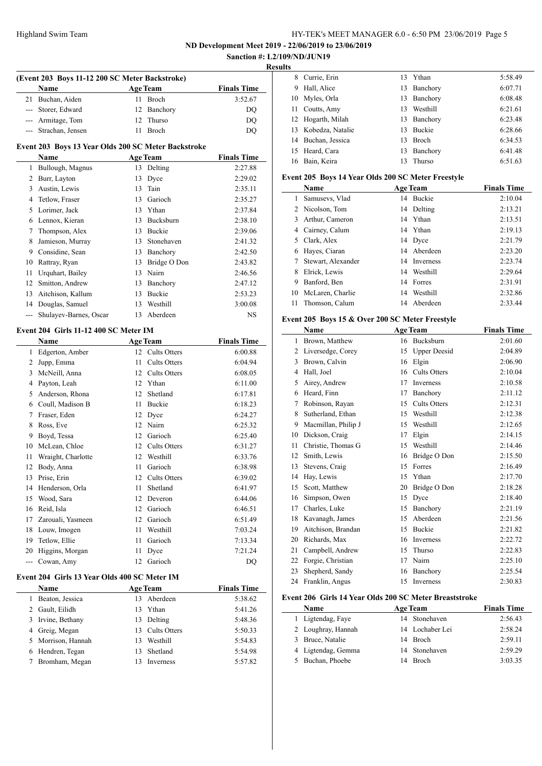**ND Development Meet 2019 - 22/06/2019 to 23/06/2019**

# **Sanction #: L2/109/ND/JUN19 Results (Event 203 Boys 11-12 200 SC Meter Backstroke) Name Age Team Finals Time**  Buchan, Aiden 11 Broch 3:52.67 --- Storer, Edward 12 Banchory DQ --- Armitage, Tom 12 Thurso DQ --- Strachan, Jensen 11 Broch DQ **Event 203 Boys 13 Year Olds 200 SC Meter Backstroke Name Age Team Finals Time**  Bullough, Magnus 13 Delting 2:27.88 Burr, Layton 13 Dyce 2:29.02 Austin, Lewis 13 Tain 2:35.11  $\overline{a}$  Tetlow, Fraser 13 Garioch 2:35.27 Lorimer, Jack 13 Ythan 2:37.84 Lennox, Kieran 13 Bucksburn 2:38.10 Thompson, Alex 13 Buckie 2:39.06 Jamieson, Murray 13 Stonehaven 2:41.32 Considine, Sean 13 Banchory 2:42.50 Rattray, Ryan 13 Bridge O Don 2:43.82 Urquhart, Bailey 13 Nairn 2:46.56 Smitton, Andrew 13 Banchory 2:47.12 Aitchison, Kallum 13 Buckie 2:53.23 Douglas, Samuel 13 Westhill 3:00.08 Shulayev-Barnes, Oscar 13 Aberdeen NS **Event 204 Girls 11-12 400 SC Meter IM Name Age Team Finals Time**  Edgerton, Amber 12 Cults Otters 6:00.88 Jupp, Emma 11 Cults Otters 6:04.94 McNeill, Anna 12 Cults Otters 6:08.05 Payton, Leah 12 Ythan 6:11.00 Anderson, Rhona 12 Shetland 6:17.81 Coull, Madison B 11 Buckie 6:18.23 Fraser, Eden 12 Dyce 6:24.27 8 Ross, Eve 12 Nairn 6:25.32 Boyd, Tessa 12 Garioch 6:25.40 McLean, Chloe 12 Cults Otters 6:31.27 Wraight, Charlotte 12 Westhill 6:33.76 Body, Anna 11 Garioch 6:38.98 Prise, Erin 12 Cults Otters 6:39.02 14 Henderson, Orla 11 Shetland 6:41.97 Wood, Sara 12 Deveron 6:44.06 Reid, Isla 12 Garioch 6:46.51 Zarouali, Yasmeen 12 Garioch 6:51.49 Louw, Imogen 11 Westhill 7:03.24 Tetlow, Ellie 11 Garioch 7:13.34 Higgins, Morgan 11 Dyce 7:21.24 Cowan, Amy 12 Garioch DQ **Event 204 Girls 13 Year Olds 400 SC Meter IM Name Age Team Finals Time**  Beaton, Jessica 13 Aberdeen 5:38.62 Gault, Eilidh 13 Ythan 5:41.26  $\overline{a}$  Irvine, Bethany 13 Delting 5:48.36 4 Greig, Megan 13 Cults Otters 5:50.33 Morrison, Hannah 13 Westhill 5:54.83 Hendren, Tegan 13 Shetland 5:54.98 Bromham, Megan 13 Inverness 5:57.82

| $\sim$ |                     |     |               |         |
|--------|---------------------|-----|---------------|---------|
| 8      | Currie, Erin        | 13  | Ythan         | 5:58.49 |
| 9      | Hall, Alice         |     | 13 Banchory   | 6:07.71 |
|        | 10 Myles, Orla      |     | 13 Banchory   | 6:08.48 |
|        | 11 Coutts, Amy      | 13  | Westhill      | 6:21.61 |
|        | 12 Hogarth, Milah   |     | 13 Banchory   | 6:23.48 |
|        | 13 Kobedza, Natalie | 13  | <b>Buckie</b> | 6:28.66 |
|        | 14 Buchan, Jessica  | 13. | <b>Broch</b>  | 6:34.53 |
|        | 15 Heard, Cara      | 13  | Banchory      | 6:41.48 |
|        | 16 Bain, Keira      | 13  | Thurso        | 6:51.63 |

#### **Event 205 Boys 14 Year Olds 200 SC Meter Freestyle**

|    | Name               |    | <b>Age Team</b> | <b>Finals Time</b> |
|----|--------------------|----|-----------------|--------------------|
|    | Samusevs, Vlad     | 14 | <b>Buckie</b>   | 2:10.04            |
|    | 2 Nicolson, Tom    |    | 14 Delting      | 2:13.21            |
| 3  | Arthur, Cameron    |    | 14 Ythan        | 2:13.51            |
| 4  | Cairney, Calum     |    | 14 Ythan        | 2:19.13            |
| 5. | Clark, Alex        |    | 14 Dyce         | 2:21.79            |
| 6  | Hayes, Ciaran      |    | 14 Aberdeen     | 2:23.20            |
|    | Stewart, Alexander |    | 14 Inverness    | 2:23.74            |
| 8  | Elrick, Lewis      |    | 14 Westhill     | 2:29.64            |
| 9  | Banford, Ben       |    | 14 Forres       | 2:31.91            |
| 10 | McLaren, Charlie   | 14 | Westhill        | 2:32.86            |
| 11 | Thomson, Calum     | 14 | Aberdeen        | 2:33.44            |

#### **Event 205 Boys 15 & Over 200 SC Meter Freestyle**

|                | Name                |    | <b>Age Team</b>     | <b>Finals Time</b> |
|----------------|---------------------|----|---------------------|--------------------|
| 1              | Brown, Matthew      | 16 | <b>Bucksburn</b>    | 2:01.60            |
| $\overline{2}$ | Liversedge, Corey   | 15 | <b>Upper Deesid</b> | 2:04.89            |
| 3              | Brown, Calvin       | 16 | Elgin               | 2:06.90            |
| 4              | Hall, Joel          | 16 | <b>Cults Otters</b> | 2:10.04            |
| 5              | Airey, Andrew       | 17 | Inverness           | 2:10.58            |
| 6              | Heard, Finn         | 17 | Banchory            | 2:11.12            |
| 7              | Robinson, Rayan     | 15 | <b>Cults Otters</b> | 2:12.31            |
| 8              | Sutherland, Ethan   | 15 | Westhill            | 2:12.38            |
| 9              | Macmillan, Philip J | 15 | Westhill            | 2:12.65            |
| 10             | Dickson, Craig      | 17 | Elgin               | 2:14.15            |
| 11             | Christie, Thomas G  | 15 | Westhill            | 2:14.46            |
| 12             | Smith, Lewis        | 16 | Bridge O Don        | 2:15.50            |
| 13             | Stevens, Craig      | 15 | Forres              | 2:16.49            |
| 14             | Hay, Lewis          | 15 | Ythan               | 2:17.70            |
| 15             | Scott, Matthew      | 20 | Bridge O Don        | 2:18.28            |
| 16             | Simpson, Owen       | 15 | Dyce                | 2:18.40            |
| 17             | Charles, Luke       | 15 | Banchory            | 2:21.19            |
| 18             | Kavanagh, James     | 15 | Aberdeen            | 2:21.56            |
| 19             | Aitchison, Brandan  | 15 | Buckie              | 2:21.82            |
| 20             | Richards, Max       | 16 | <b>Inverness</b>    | 2:22.72            |
| 21             | Campbell, Andrew    | 15 | Thurso              | 2:22.83            |
| 22             | Forgie, Christian   | 17 | Nairn               | 2:25.10            |
| 23             | Shepherd, Sandy     | 16 | Banchory            | 2:25.54            |
| 24             | Franklin, Angus     | 15 | Inverness           | 2:30.83            |

#### **Event 206 Girls 14 Year Olds 200 SC Meter Breaststroke**

| Name               | <b>Age Team</b> | <b>Finals Time</b> |
|--------------------|-----------------|--------------------|
| 1 Ligtendag, Faye  | 14 Stonehaven   | 2:56.43            |
| 2 Loughray, Hannah | 14 Lochaber Lei | 2:58.24            |
| 3 Bruce, Natalie   | 14 Broch        | 2:59.11            |
| 4 Ligtendag, Gemma | 14 Stonehaven   | 2:59.29            |
| 5 Buchan, Phoebe   | 14 Broch        | 3:03.35            |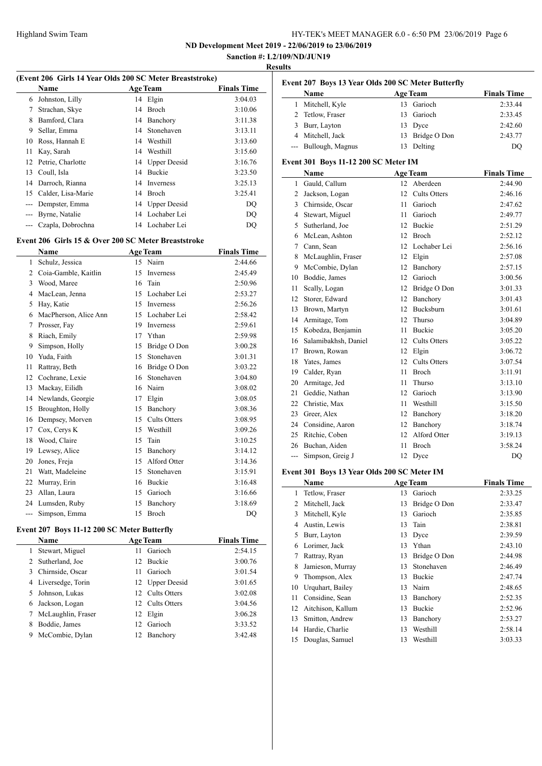**ND Development Meet 2019 - 22/06/2019 to 23/06/2019 Sanction #: L2/109/ND/JUN19**

# **Results**

| (Event 206 Girls 14 Year Olds 200 SC Meter Breaststroke) |                                                     |    |                     |                    |
|----------------------------------------------------------|-----------------------------------------------------|----|---------------------|--------------------|
|                                                          | Name                                                |    | <b>Age Team</b>     | <b>Finals Time</b> |
| 6                                                        | Johnston, Lilly                                     |    | 14 Elgin            | 3:04.03            |
| 7                                                        | Strachan, Skye                                      | 14 | Broch               | 3:10.06            |
| 8                                                        | Bamford, Clara                                      | 14 | Banchory            | 3:11.38            |
| 9                                                        | Sellar, Emma                                        | 14 | Stonehaven          | 3:13.11            |
| 10                                                       | Ross, Hannah E                                      | 14 | Westhill            | 3:13.60            |
| 11                                                       | Kay, Sarah                                          | 14 | Westhill            | 3:15.60            |
| 12                                                       | Petrie, Charlotte                                   | 14 | <b>Upper Deesid</b> | 3:16.76            |
| 13                                                       | Coull, Isla                                         | 14 | <b>Buckie</b>       | 3:23.50            |
| 14                                                       | Darroch, Rianna                                     | 14 | <b>Inverness</b>    | 3:25.13            |
| 15                                                       | Calder, Lisa-Marie                                  | 14 | Broch               | 3:25.41            |
| ---                                                      | Dempster, Emma                                      | 14 | <b>Upper Deesid</b> | DO                 |
| ---                                                      | Byrne, Natalie                                      | 14 | Lochaber Lei        | DQ                 |
| ---                                                      | Czapla, Dobrochna                                   |    | 14 Lochaber Lei     | DQ                 |
|                                                          | Event 206 Girls 15 & Over 200 SC Meter Breaststroke |    |                     |                    |
|                                                          | <b>Name</b>                                         |    | <b>Age Team</b>     | <b>Finals Time</b> |
| 1                                                        | Schulz, Jessica                                     |    | 15 Nairn            | 2:44.66            |
| $\overline{c}$                                           | Coia-Gamble, Kaitlin                                | 15 | Inverness           | 2:45.49            |
| 3                                                        | Wood, Maree                                         | 16 | Tain                | 2:50.96            |
| 4                                                        | MacLean, Jenna                                      | 15 | Lochaber Lei        | 2:53.27            |
| 5                                                        | Hay, Katie                                          | 15 | Inverness           | 2:56.26            |
| 6                                                        | MacPherson, Alice Ann                               | 15 | Lochaber Lei        | 2:58.42            |
| 7                                                        | Prosser, Fay                                        | 19 | <b>Inverness</b>    | 2:59.61            |
| 8                                                        | Riach, Emily                                        | 17 | Ythan               | 2:59.98            |
| 9                                                        | Simpson, Holly                                      | 15 | Bridge O Don        | 3:00.28            |
| 10                                                       | Yuda, Faith                                         | 15 | Stonehaven          | 3:01.31            |

|     | Name                  |    | <b>Age Team</b>     | <b>Finals Time</b> |
|-----|-----------------------|----|---------------------|--------------------|
| 1   | Schulz, Jessica       | 15 | Nairn               | 2:44.66            |
| 2   | Coia-Gamble, Kaitlin  | 15 | Inverness           | 2:45.49            |
| 3   | Wood, Maree           | 16 | Tain                | 2:50.96            |
| 4   | MacLean, Jenna        | 15 | Lochaber Lei        | 2:53.27            |
| 5   | Hay, Katie            | 15 | <b>Inverness</b>    | 2:56.26            |
| 6   | MacPherson, Alice Ann | 15 | Lochaber Lei        | 2:58.42            |
| 7   | Prosser, Fay          | 19 | Inverness           | 2:59.61            |
| 8   | Riach, Emily          | 17 | Ythan               | 2:59.98            |
| 9   | Simpson, Holly        | 15 | Bridge O Don        | 3:00.28            |
| 10  | Yuda, Faith           | 15 | Stonehaven          | 3:01.31            |
| 11  | Rattray, Beth         | 16 | Bridge O Don        | 3:03.22            |
| 12  | Cochrane, Lexie       | 16 | Stonehaven          | 3:04.80            |
| 13  | Mackay, Eilidh        | 16 | Nairn               | 3:08.02            |
| 14  | Newlands, Georgie     | 17 | Elgin               | 3:08.05            |
| 15  | Broughton, Holly      | 15 | Banchory            | 3:08.36            |
| 16  | Dempsey, Morven       | 15 | <b>Cults Otters</b> | 3:08.95            |
| 17  | Cox, Cerys K          | 15 | Westhill            | 3:09.26            |
| 18  | Wood, Claire          | 15 | Tain                | 3:10.25            |
| 19  | Lewsey, Alice         | 15 | Banchory            | 3:14.12            |
| 20  | Jones, Freja          | 15 | Alford Otter        | 3:14.36            |
| 21  | Watt, Madeleine       | 15 | Stonehaven          | 3:15.91            |
| 22  | Murray, Erin          | 16 | Buckie              | 3:16.48            |
| 23  | Allan, Laura          | 15 | Garioch             | 3:16.66            |
| 24  | Lumsden, Ruby         | 15 | Banchory            | 3:18.69            |
| --- | Simpson, Emma         | 15 | Broch               | DQ                 |

# **Event 207 Boys 11-12 200 SC Meter Butterfly**

|   | <b>Name</b>         | <b>Age Team</b> | <b>Finals Time</b> |         |
|---|---------------------|-----------------|--------------------|---------|
| 1 | Stewart, Miguel     | 11              | Garioch            | 2:54.15 |
|   | 2 Sutherland, Joe   |                 | 12 Buckie          | 3:00.76 |
|   | 3 Chirnside, Oscar  | 11              | Garioch            | 3:01.54 |
|   | 4 Liversedge, Torin |                 | 12 Upper Deesid    | 3:01.65 |
|   | 5 Johnson, Lukas    |                 | 12 Cults Otters    | 3:02.08 |
| 6 | Jackson, Logan      |                 | 12 Cults Otters    | 3:04.56 |
|   | McLaughlin, Fraser  |                 | 12 Elgin           | 3:06.28 |
| 8 | Boddie, James       |                 | 12 Garioch         | 3:33.52 |
| 9 | McCombie, Dylan     | 12              | Banchory           | 3:42.48 |

| Event 207 Boys 13 Year Olds 200 SC Meter Butterfly |                                      |                 |                     |                    |  |  |
|----------------------------------------------------|--------------------------------------|-----------------|---------------------|--------------------|--|--|
|                                                    | <b>Name</b>                          |                 | <b>Age Team</b>     | <b>Finals Time</b> |  |  |
| 1                                                  | Mitchell, Kyle                       | 13              | Garioch             | 2:33.44            |  |  |
| $\overline{c}$                                     | Tetlow, Fraser                       | 13              | Garioch             | 2:33.45            |  |  |
| 3                                                  | Burr, Layton                         | 13              | Dyce                | 2:42.60            |  |  |
| 4                                                  | Mitchell, Jack                       | 13              | Bridge O Don        | 2:43.77            |  |  |
| $\overline{a}$                                     | Bullough, Magnus                     | 13              | Delting             | DQ                 |  |  |
|                                                    | Event 301 Boys 11-12 200 SC Meter IM |                 |                     |                    |  |  |
|                                                    | Name                                 |                 | <b>Age Team</b>     | <b>Finals Time</b> |  |  |
| 1                                                  | Gauld, Callum                        | 12              | Aberdeen            | 2:44.90            |  |  |
| 2                                                  | Jackson, Logan                       | 12              | <b>Cults Otters</b> | 2:46.16            |  |  |
| $\overline{3}$                                     | Chirnside, Oscar                     | 11              | Garioch             | 2:47.62            |  |  |
| 4                                                  | Stewart, Miguel                      | 11              | Garioch             | 2:49.77            |  |  |
| 5                                                  | Sutherland, Joe                      | 12              | <b>Buckie</b>       | 2:51.29            |  |  |
| 6                                                  | McLean, Ashton                       |                 | 12 Broch            | 2:52.12            |  |  |
| 7                                                  | Cann, Sean                           |                 | 12 Lochaber Lei     | 2:56.16            |  |  |
| 8                                                  | McLaughlin, Fraser                   |                 | 12 Elgin            | 2:57.08            |  |  |
| 9                                                  | McCombie, Dylan                      |                 | 12 Banchory         | 2:57.15            |  |  |
| 10                                                 | Boddie, James                        | 12              | Garioch             | 3:00.56            |  |  |
| 11                                                 | Scally, Logan                        |                 | 12 Bridge O Don     | 3:01.33            |  |  |
| 12                                                 | Storer, Edward                       | 12              | Banchory            | 3:01.43            |  |  |
| 13                                                 | Brown, Martyn                        | 12              | Bucksburn           | 3:01.61            |  |  |
| 14                                                 | Armitage, Tom                        | 12              | Thurso              | 3:04.89            |  |  |
| 15                                                 | Kobedza, Benjamin                    | 11              | <b>Buckie</b>       | 3:05.20            |  |  |
| 16                                                 | Salamibakhsh, Daniel                 |                 | 12 Cults Otters     | 3:05.22            |  |  |
| 17                                                 | Brown, Rowan                         |                 | 12 Elgin            | 3:06.72            |  |  |
| 18                                                 | Yates, James                         | 12 <sup>7</sup> | <b>Cults Otters</b> | 3:07.54            |  |  |
| 19                                                 | Calder, Ryan                         | 11              | <b>Broch</b>        | 3:11.91            |  |  |
| 20                                                 | Armitage, Jed                        | 11              | Thurso              | 3:13.10            |  |  |
| 21                                                 | Geddie, Nathan                       | 12              | Garioch             | 3:13.90            |  |  |
| 22                                                 | Christie, Max                        | 11              | Westhill            | 3:15.50            |  |  |
| 23                                                 | Greer, Alex                          |                 | 12 Banchory         | 3:18.20            |  |  |
| 24                                                 | Considine, Aaron                     | 12              | Banchory            | 3:18.74            |  |  |
| 25                                                 | Ritchie, Coben                       | 12              | Alford Otter        | 3:19.13            |  |  |
| 26                                                 | Buchan, Aiden                        | 11              | Broch               | 3:58.24            |  |  |

# **Event 301 Boys 13 Year Olds 200 SC Meter IM**

 $\overline{\phantom{a}}$ 

|    | Name              |    | <b>Age Team</b> | <b>Finals Time</b> |
|----|-------------------|----|-----------------|--------------------|
| 1  | Tetlow, Fraser    | 13 | Garioch         | 2:33.25            |
| 2  | Mitchell, Jack    | 13 | Bridge O Don    | 2:33.47            |
| 3  | Mitchell, Kyle    | 13 | Garioch         | 2:35.85            |
| 4  | Austin, Lewis     | 13 | Tain            | 2:38.81            |
| 5  | Burr, Layton      | 13 | Dyce            | 2:39.59            |
| 6  | Lorimer, Jack     | 13 | Ythan           | 2:43.10            |
| 7  | Rattray, Ryan     | 13 | Bridge O Don    | 2:44.98            |
| 8  | Jamieson, Murray  | 13 | Stonehaven      | 2:46.49            |
| 9  | Thompson, Alex    | 13 | <b>Buckie</b>   | 2:47.74            |
| 10 | Urquhart, Bailey  | 13 | Nairn           | 2:48.65            |
| 11 | Considine, Sean   | 13 | Banchory        | 2:52.35            |
| 12 | Aitchison, Kallum | 13 | <b>Buckie</b>   | 2:52.96            |
| 13 | Smitton, Andrew   | 13 | Banchory        | 2:53.27            |
| 14 | Hardie, Charlie   | 13 | Westhill        | 2:58.14            |
| 15 | Douglas, Samuel   | 13 | Westhill        | 3:03.33            |

--- Simpson, Greig J 12 Dyce DQ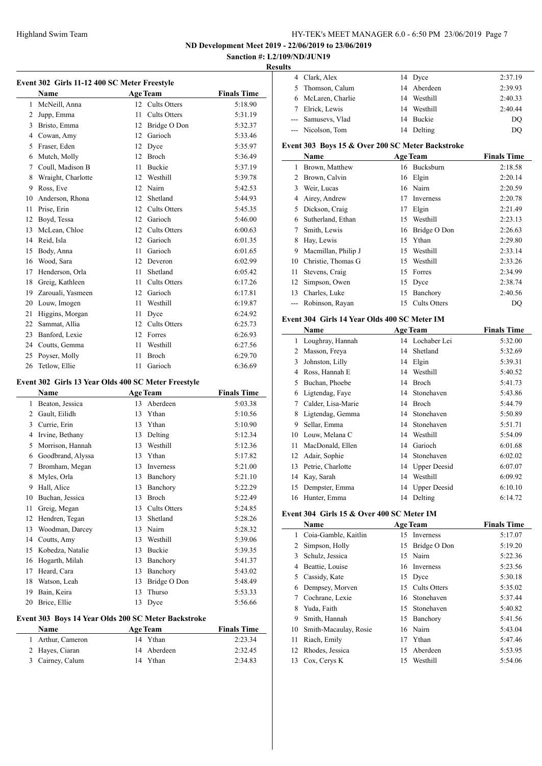**ND Development Meet 2019 - 22/06/2019 to 23/06/2019**

### **Sanction #: L2/109/ND/JUN19 Results**

 $\overline{a}$ 

|              | Event 302 Girls 11-12 400 SC Meter Freestyle        |      |                     |                    |
|--------------|-----------------------------------------------------|------|---------------------|--------------------|
|              | Name                                                |      | <b>Age Team</b>     | <b>Finals Time</b> |
| $\mathbf{1}$ | McNeill, Anna                                       |      | 12 Cults Otters     | 5:18.90            |
|              | 2 Jupp, Emma                                        | 11.  | Cults Otters        | 5:31.19            |
|              | 3 Bristo, Emma                                      |      | 12 Bridge O Don     | 5:32.37            |
|              | 4 Cowan, Amy                                        |      | 12 Garioch          | 5:33.46            |
|              | 5 Fraser, Eden                                      |      | 12 Dyce             | 5:35.97            |
|              | 6 Mutch, Molly                                      |      | 12 Broch            | 5:36.49            |
| $\tau$       | Coull, Madison B                                    | 11.  | <b>Buckie</b>       | 5:37.19            |
| 8            | Wraight, Charlotte                                  |      | 12 Westhill         | 5:39.78            |
|              | 9 Ross, Eve                                         |      | 12 Nairn            | 5:42.53            |
| 10           | Anderson, Rhona                                     |      | 12 Shetland         | 5:44.93            |
| 11           | Prise, Erin                                         |      | 12 Cults Otters     | 5:45.35            |
| 12           | Boyd, Tessa                                         |      | 12 Garioch          | 5:46.00            |
| 13           | McLean, Chloe                                       |      | 12 Cults Otters     | 6:00.63            |
| 14           | Reid, Isla                                          |      | 12 Garioch          | 6:01.35            |
| 15           | Body, Anna                                          | 11   | Garioch             | 6:01.65            |
|              | 16 Wood, Sara                                       |      | 12 Deveron          | 6:02.99            |
|              | 17 Henderson, Orla                                  | 11 - | Shetland            | 6:05.42            |
|              | 18 Greig, Kathleen                                  | 11   | <b>Cults Otters</b> | 6:17.26            |
|              | 19 Zarouali, Yasmeen                                |      | 12 Garioch          | 6:17.81            |
|              | 20 Louw, Imogen                                     | 11.  | Westhill            | 6:19.87            |
| 21           | Higgins, Morgan                                     |      | 11 Dyce             | 6:24.92            |
|              | 22 Sammat, Allia                                    |      | 12 Cults Otters     | 6:25.73            |
| 23           | Banford, Lexie                                      |      | 12 Forres           | 6:26.93            |
|              | 24 Coutts, Gemma                                    | 11   | Westhill            | 6:27.56            |
| 25           | Poyser, Molly                                       | 11   | Broch               | 6:29.70            |
| 26           | Tetlow, Ellie                                       | 11   | Garioch             | 6:36.69            |
|              |                                                     |      |                     |                    |
|              | Event 302 Girls 13 Year Olds 400 SC Meter Freestyle |      |                     |                    |
|              | Name                                                |      | <b>Age Team</b>     | <b>Finals Time</b> |
|              | 1 Beaton, Jessica                                   |      | 13 Aberdeen         | 5:03.38            |
|              | 2 Gault, Eilidh                                     |      | 13 Ythan            | 5:10.56            |
|              | 3 Currie, Erin                                      |      | 13 Ythan            | 5:10.90            |
|              | 4 Irvine, Bethany                                   |      | 13 Delting          | 5:12.34            |
| 5            | Morrison, Hannah                                    |      | 13 Westhill         | 5:12.36            |
|              | 6 Goodbrand, Alyssa                                 |      | 13 Ythan            | 5:17.82            |
| 7            | Bromham, Megan                                      |      | 13 Inverness        | 5:21.00            |
| 8            | Myles, Orla                                         | 13   | Banchory            | 5:21.10            |
| 9            | Hall, Alice                                         | 13   | Banchory            | 5:22.29            |
| 10           | Buchan, Jessica                                     | 13   | Broch               | 5:22.49            |
| 11           | Greig, Megan                                        | 13   | Cults Otters        | 5:24.85            |
| 12           | Hendren, Tegan                                      | 13   | Shetland            | 5:28.26            |
| 13           | Woodman, Darcey                                     | 13   | Nairn               | 5:28.32            |
| 14           | Coutts, Amy                                         | 13   | Westhill            | 5:39.06            |
| 15           | Kobedza, Natalie                                    | 13   | Buckie              | 5:39.35            |
| 16           | Hogarth, Milah                                      | 13   | Banchory            | 5:41.37            |
| 17           | Heard, Cara                                         | 13   | Banchory            | 5:43.02            |
| $18\,$       | Watson, Leah                                        | 13   | Bridge O Don        | 5:48.49            |
| 19           | Bain, Keira                                         | 13   | Thurso              | 5:53.33            |
| 20           | Brice, Ellie                                        | 13   | Dyce                | 5:56.66            |

# **Event 303 Boys 14 Year Olds 200 SC Meter Backstroke**

| <b>Name</b>       | <b>Age Team</b> | <b>Finals Time</b> |
|-------------------|-----------------|--------------------|
| 1 Arthur, Cameron | 14 Ythan        | 2:23.34            |
| 2 Hayes, Ciaran   | 14 Aberdeen     | 2:32.45            |
| 3 Cairney, Calum  | 14 Ythan        | 2:34.83            |

| uns |                                                  |    |                 |                    |
|-----|--------------------------------------------------|----|-----------------|--------------------|
|     | 4 Clark, Alex                                    |    | 14 Dyce         | 2:37.19            |
| 5.  | Thomson, Calum                                   |    | 14 Aberdeen     | 2:39.93            |
| 6   | McLaren, Charlie                                 |    | 14 Westhill     | 2:40.33            |
|     | Elrick, Lewis                                    | 14 | Westhill        | 2:40.44            |
|     | Samusevs, Vlad                                   |    | 14 Buckie       | DO                 |
|     | --- Nicolson, Tom                                | 14 | Delting         | DO                 |
|     | Event 303 Boys 15 & Over 200 SC Meter Backstroke |    |                 |                    |
|     | <b>Name</b>                                      |    | <b>Age Team</b> | <b>Finals Time</b> |
| 1   | Brown, Matthew                                   |    | 16 Bucksburn    | 2:18.58            |
| 2   | Brown, Calvin                                    |    | 16 Elgin        | 2:20.14            |
|     | Weir, Lucas                                      | 16 | Nairn           | 2:20.59            |
|     |                                                  |    |                 |                    |

| 4 | Airey, Andrew         | 17 | Inverness       | 2:20.78 |
|---|-----------------------|----|-----------------|---------|
| 5 | Dickson, Craig        | 17 | Elgin           | 2:21.49 |
| 6 | Sutherland, Ethan     |    | 15 Westhill     | 2:23.13 |
| 7 | Smith, Lewis          |    | 16 Bridge O Don | 2:26.63 |
| 8 | Hay, Lewis            |    | 15 Ythan        | 2:29.80 |
| 9 | Macmillan, Philip J   |    | 15 Westhill     | 2:33.14 |
|   | 10 Christie, Thomas G |    | 15 Westhill     | 2:33.26 |
|   | 11 Stevens, Craig     |    | 15 Forres       | 2:34.99 |
|   | 12 Simpson, Owen      |    | 15 Dyce         | 2:38.74 |
|   | 13 Charles, Luke      |    | 15 Banchory     | 2:40.56 |
|   | --- Robinson, Rayan   |    | 15 Cults Otters | DO      |

# **Event 304 Girls 14 Year Olds 400 SC Meter IM**

|    | $\alpha$ . This is that $\alpha$ is the set of $\alpha$ |    |                     |                    |  |  |
|----|---------------------------------------------------------|----|---------------------|--------------------|--|--|
|    | Name                                                    |    | <b>Age Team</b>     | <b>Finals Time</b> |  |  |
| 1  | Loughray, Hannah                                        |    | 14 Lochaber Lei     | 5:32.00            |  |  |
| 2  | Masson, Freya                                           | 14 | Shetland            | 5:32.69            |  |  |
| 3  | Johnston, Lilly                                         | 14 | Elgin               | 5:39.31            |  |  |
| 4  | Ross, Hannah E                                          | 14 | Westhill            | 5:40.52            |  |  |
| 5  | Buchan, Phoebe                                          | 14 | <b>Broch</b>        | 5:41.73            |  |  |
| 6  | Ligtendag, Faye                                         | 14 | Stonehaven          | 5:43.86            |  |  |
| 7  | Calder, Lisa-Marie                                      | 14 | Broch               | 5:44.79            |  |  |
| 8  | Ligtendag, Gemma                                        | 14 | Stonehaven          | 5:50.89            |  |  |
| 9  | Sellar, Emma                                            | 14 | Stonehaven          | 5:51.71            |  |  |
| 10 | Louw, Melana C                                          | 14 | Westhill            | 5:54.09            |  |  |
| 11 | MacDonald, Ellen                                        | 14 | Garioch             | 6:01.68            |  |  |
| 12 | Adair, Sophie                                           | 14 | Stonehaven          | 6:02.02            |  |  |
| 13 | Petrie, Charlotte                                       | 14 | <b>Upper Deesid</b> | 6:07.07            |  |  |
| 14 | Kay, Sarah                                              | 14 | Westhill            | 6:09.92            |  |  |
| 15 | Dempster, Emma                                          |    | 14 Upper Deesid     | 6:10.10            |  |  |
| 16 | Hunter, Emma                                            | 14 | Delting             | 6:14.72            |  |  |

#### **Event 304 Girls 15 & Over 400 SC Meter IM**

|    | Name                  |    | <b>Age Team</b> | <b>Finals Time</b> |
|----|-----------------------|----|-----------------|--------------------|
| 1  | Coia-Gamble, Kaitlin  | 15 | Inverness       | 5:17.07            |
| 2  | Simpson, Holly        | 15 | Bridge O Don    | 5:19.20            |
| 3  | Schulz, Jessica       | 15 | Nairn           | 5:22.36            |
| 4  | Beattie, Louise       |    | 16 Inverness    | 5:23.56            |
| 5  | Cassidy, Kate         | 15 | Dyce            | 5:30.18            |
| 6  | Dempsey, Morven       | 15 | Cults Otters    | 5:35.02            |
| 7  | Cochrane, Lexie       |    | 16 Stonehaven   | 5:37.44            |
| 8  | Yuda, Faith           | 15 | Stonehaven      | 5:40.82            |
| 9  | Smith, Hannah         | 15 | Banchory        | 5:41.56            |
| 10 | Smith-Macaulay, Rosie |    | 16 Nairn        | 5:43.04            |
| 11 | Riach, Emily          | 17 | Ythan           | 5:47.46            |
| 12 | Rhodes, Jessica       | 15 | Aberdeen        | 5:53.95            |
| 13 | Cox, Cerys K          | 15 | Westhill        | 5:54.06            |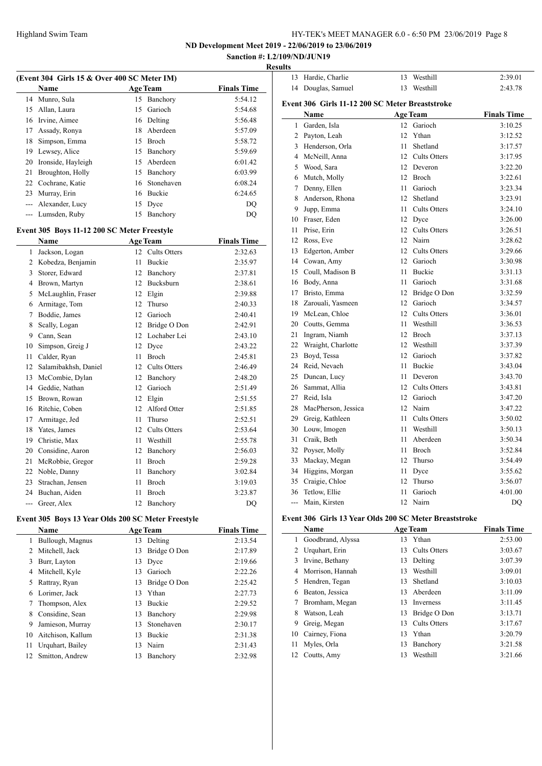**ND Development Meet 2019 - 22/06/2019 to 23/06/2019 Sanction #: L2/109/ND/JUN19**

# **Results**

| (Event 304 Girls 15 & Over 400 SC Meter IM)   |                                             |    |                     |                    |  |  |  |
|-----------------------------------------------|---------------------------------------------|----|---------------------|--------------------|--|--|--|
|                                               | Name                                        |    | <b>Age Team</b>     | <b>Finals Time</b> |  |  |  |
| 14                                            | Munro, Sula                                 | 15 | Banchory            | 5:54.12            |  |  |  |
| 15                                            | Allan, Laura                                |    | 15 Garioch          | 5:54.68            |  |  |  |
| 16                                            | Irvine, Aimee                               |    | 16 Delting          | 5:56.48            |  |  |  |
| 17                                            | Assady, Ronya                               |    | 18 Aberdeen         | 5:57.09            |  |  |  |
| 18                                            | Simpson, Emma                               |    | 15 Broch            | 5:58.72            |  |  |  |
| 19                                            | Lewsey, Alice                               |    | 15 Banchory         | 5:59.69            |  |  |  |
| 20                                            | Ironside, Hayleigh                          |    | 15 Aberdeen         | 6:01.42            |  |  |  |
| 21                                            | Broughton, Holly                            |    | 15 Banchory         | 6:03.99            |  |  |  |
|                                               | 22 Cochrane, Katie                          | 16 | Stonehaven          | 6:08.24            |  |  |  |
|                                               | 23 Murray, Erin                             |    | 16 Buckie           | 6:24.65            |  |  |  |
|                                               | --- Alexander, Lucy                         | 15 | Dyce                | DQ                 |  |  |  |
|                                               | --- Lumsden, Ruby                           | 15 | Banchory            | DQ                 |  |  |  |
|                                               | Event 305 Boys 11-12 200 SC Meter Freestyle |    |                     |                    |  |  |  |
| <b>Finals Time</b><br><b>Age Team</b><br>Name |                                             |    |                     |                    |  |  |  |
| $\mathbf{1}$                                  | Jackson, Logan                              |    | 12 Cults Otters     | 2:32.63            |  |  |  |
|                                               | 2 Kobedza, Benjamin                         | 11 | Buckie              | 2:35.97            |  |  |  |
| 3                                             | Storer, Edward                              |    | 12 Banchory         | 2:37.81            |  |  |  |
| $\overline{4}$                                | Brown, Martyn                               |    | 12 Bucksburn        | 2:38.61            |  |  |  |
| 5                                             | McLaughlin, Fraser                          |    | 12 Elgin            | 2:39.88            |  |  |  |
| 6                                             | Armitage, Tom                               |    | 12 Thurso           | 2:40.33            |  |  |  |
| $\overline{7}$                                | Boddie, James                               |    | 12 Garioch          | 2:40.41            |  |  |  |
| 8                                             | Scally, Logan                               |    | 12 Bridge O Don     | 2:42.91            |  |  |  |
|                                               | 9 Cann, Sean                                |    | 12 Lochaber Lei     | 2:43.10            |  |  |  |
| 10                                            | Simpson, Greig J                            |    | 12 Dyce             | 2:43.22            |  |  |  |
| 11                                            | Calder, Ryan                                | 11 | Broch               | 2:45.81            |  |  |  |
| 12                                            | Salamibakhsh, Daniel                        |    | 12 Cults Otters     | 2:46.49            |  |  |  |
| 13                                            | McCombie, Dylan                             |    | 12 Banchory         | 2:48.20            |  |  |  |
| 14                                            | Geddie, Nathan                              |    | 12 Garioch          | 2:51.49            |  |  |  |
| 15                                            | Brown, Rowan                                |    | 12 Elgin            | 2:51.55            |  |  |  |
| 16                                            | Ritchie, Coben                              | 12 | Alford Otter        | 2:51.85            |  |  |  |
| 17                                            | Armitage, Jed                               | 11 | <b>Thurso</b>       | 2:52.51            |  |  |  |
| 18                                            | Yates, James                                | 12 | <b>Cults Otters</b> | 2:53.64            |  |  |  |
|                                               | 19 Christie, Max                            |    | 11 Westhill         | 2:55.78            |  |  |  |
|                                               | 20 Considine, Aaron                         |    | 12 Banchory         | 2:56.03            |  |  |  |
| 21                                            | McRobbie, Gregor                            | 11 | Broch               | 2:59.28            |  |  |  |
| 22                                            | Noble, Danny                                | 11 | Banchory            | 3:02.84            |  |  |  |
| 23                                            | Strachan, Jensen                            | 11 | Broch               | 3:19.03            |  |  |  |
| 24                                            | Buchan, Aiden                               | 11 | Broch               | 3:23.87            |  |  |  |
|                                               | --- Greer, Alex                             | 12 | Banchory            | DQ                 |  |  |  |
|                                               |                                             |    |                     |                    |  |  |  |

# **Event 305 Boys 13 Year Olds 200 SC Meter Freestyle**

|    | <b>Name</b>       |    | <b>Age Team</b> | <b>Finals Time</b> |
|----|-------------------|----|-----------------|--------------------|
| 1  | Bullough, Magnus  | 13 | Delting         | 2:13.54            |
| 2  | Mitchell, Jack    | 13 | Bridge O Don    | 2:17.89            |
| 3  | Burr, Layton      | 13 | Dyce            | 2:19.66            |
| 4  | Mitchell, Kyle    | 13 | Garioch         | 2:22.26            |
| 5  | Rattray, Ryan     | 13 | Bridge O Don    | 2:25.42            |
| 6  | Lorimer, Jack     | 13 | Ythan           | 2:27.73            |
| 7  | Thompson, Alex    | 13 | <b>Buckie</b>   | 2:29.52            |
| 8  | Considine, Sean   | 13 | Banchory        | 2:29.98            |
| 9  | Jamieson, Murray  | 13 | Stonehaven      | 2:30.17            |
| 10 | Aitchison, Kallum | 13 | <b>Buckie</b>   | 2:31.38            |
| 11 | Urquhart, Bailey  | 13 | Nairn           | 2:31.43            |
| 12 | Smitton, Andrew   | 13 | Banchory        | 2:32.98            |
|    |                   |    |                 |                    |

|                | 13 Hardie, Charlie                              | 13              | Westhill            | 2:39.01            |  |  |  |  |
|----------------|-------------------------------------------------|-----------------|---------------------|--------------------|--|--|--|--|
| 14             | Douglas, Samuel                                 |                 | 13 Westhill         | 2:43.78            |  |  |  |  |
|                | Event 306 Girls 11-12 200 SC Meter Breaststroke |                 |                     |                    |  |  |  |  |
|                | Name                                            |                 | <b>Age Team</b>     | <b>Finals Time</b> |  |  |  |  |
| 1              | Garden, Isla                                    |                 | 12 Garioch          | 3:10.25            |  |  |  |  |
|                | 2 Payton, Leah                                  |                 | 12 Ythan            | 3:12.52            |  |  |  |  |
|                | 3 Henderson, Orla                               | 11              | Shetland            | 3:17.57            |  |  |  |  |
|                | 4 McNeill, Anna                                 |                 | 12 Cults Otters     | 3:17.95            |  |  |  |  |
|                | 5 Wood, Sara                                    |                 | 12 Deveron          | 3:22.20            |  |  |  |  |
|                | 6 Mutch, Molly                                  |                 | 12 Broch            | 3:22.61            |  |  |  |  |
|                | 7 Denny, Ellen                                  | 11              | Garioch             | 3:23.34            |  |  |  |  |
| 8              | Anderson, Rhona                                 | 12              | Shetland            | 3:23.91            |  |  |  |  |
|                | 9 Jupp, Emma                                    |                 | 11 Cults Otters     | 3:24.10            |  |  |  |  |
|                | 10 Fraser, Eden                                 |                 | 12 Dyce             | 3:26.00            |  |  |  |  |
|                | 11 Prise, Erin                                  |                 | 12 Cults Otters     | 3:26.51            |  |  |  |  |
|                | 12 Ross, Eve                                    |                 | 12 Naim             | 3:28.62            |  |  |  |  |
|                | 13 Edgerton, Amber                              |                 | 12 Cults Otters     | 3:29.66            |  |  |  |  |
|                | 14 Cowan, Amy                                   |                 | 12 Garioch          | 3:30.98            |  |  |  |  |
|                | 15 Coull, Madison B                             | 11              | <b>Buckie</b>       | 3:31.13            |  |  |  |  |
|                | 16 Body, Anna                                   |                 | 11 Garioch          | 3:31.68            |  |  |  |  |
|                | 17 Bristo, Emma                                 |                 | 12 Bridge O Don     | 3:32.59            |  |  |  |  |
|                | 18 Zarouali, Yasmeen                            |                 | 12 Garioch          | 3:34.57            |  |  |  |  |
|                | 19 McLean, Chloe                                |                 | 12 Cults Otters     | 3:36.01            |  |  |  |  |
|                | 20 Coutts, Gemma                                | 11              | Westhill            | 3:36.53            |  |  |  |  |
|                | 21 Ingram, Niamh                                |                 | 12 Broch            | 3:37.13            |  |  |  |  |
|                | 22 Wraight, Charlotte                           |                 | 12 Westhill         | 3:37.39            |  |  |  |  |
|                | 23 Boyd, Tessa                                  |                 | 12 Garioch          | 3:37.82            |  |  |  |  |
|                | 24 Reid, Nevaeh                                 | 11              | <b>Buckie</b>       | 3:43.04            |  |  |  |  |
|                | 25 Duncan, Lucy                                 | 11              | Deveron             | 3:43.70            |  |  |  |  |
|                | 26 Sammat, Allia                                |                 | 12 Cults Otters     | 3:43.81            |  |  |  |  |
|                | 27 Reid, Isla                                   |                 | 12 Garioch          | 3:47.20            |  |  |  |  |
|                | 28 MacPherson, Jessica                          |                 | 12 Nairn            | 3:47.22            |  |  |  |  |
|                | 29 Greig, Kathleen                              | 11              | <b>Cults Otters</b> | 3:50.02            |  |  |  |  |
|                | 30 Louw, Imogen                                 | 11              | Westhill            | 3:50.13            |  |  |  |  |
| 31             | Craik, Beth                                     | 11              | Aberdeen            | 3:50.34            |  |  |  |  |
|                | 32 Poyser, Molly                                | 11              | <b>Broch</b>        | 3:52.84            |  |  |  |  |
|                | 33 Mackay, Megan                                |                 | 12 Thurso           | 3:54.49            |  |  |  |  |
|                | 34 Higgins, Morgan                              | 11              | Dyce                | 3:55.62            |  |  |  |  |
|                | 35 Craigie, Chloe                               |                 | 12 Thurso           | 3:56.07            |  |  |  |  |
|                | 36 Tetlow, Ellie                                | 11              | Garioch             | 4:01.00            |  |  |  |  |
| $\overline{a}$ | Main, Kirsten                                   | 12 <sup>1</sup> | Nairn               | DO                 |  |  |  |  |

#### **Event 306 Girls 13 Year Olds 200 SC Meter Breaststroke**

|    | <b>Name</b>       |    | <b>Age Team</b>     | <b>Finals Time</b> |
|----|-------------------|----|---------------------|--------------------|
| 1  | Goodbrand, Alyssa | 13 | Ythan               | 2:53.00            |
|    | Urquhart, Erin    | 13 | Cults Otters        | 3:03.67            |
| 3  | Irvine, Bethany   | 13 | Delting             | 3:07.39            |
| 4  | Morrison, Hannah  | 13 | Westhill            | 3:09.01            |
| 5  | Hendren, Tegan    | 13 | Shetland            | 3:10.03            |
| 6  | Beaton, Jessica   | 13 | Aberdeen            | 3:11.09            |
| 7  | Bromham, Megan    | 13 | <b>Inverness</b>    | 3:11.45            |
| 8  | Watson, Leah      | 13 | Bridge O Don        | 3:13.71            |
| 9  | Greig, Megan      | 13 | <b>Cults Otters</b> | 3:17.67            |
| 10 | Cairney, Fiona    | 13 | Ythan               | 3:20.79            |
| 11 | Myles, Orla       | 13 | Banchory            | 3:21.58            |
| 12 | Coutts, Amy       | 13 | Westhill            | 3:21.66            |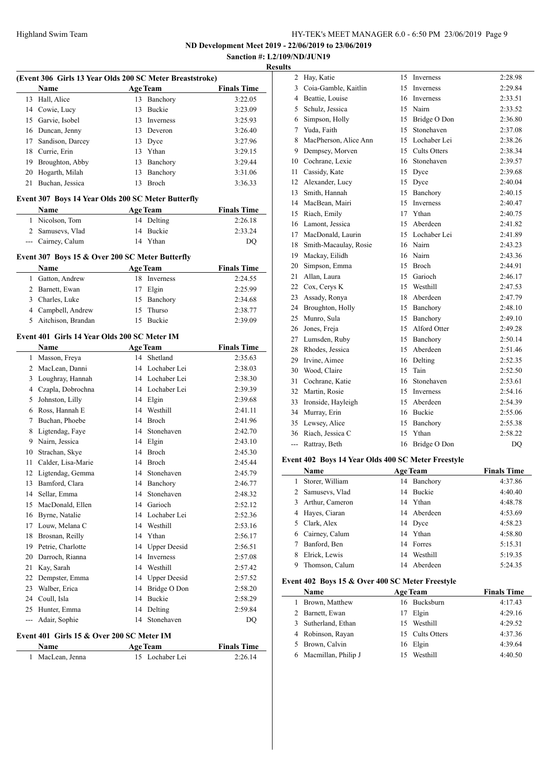**ND Development Meet 2019 - 22/06/2019 to 23/06/2019 Sanction #: L2/109/ND/JUN19**

# **Results**

|       | (Event 306 Girls 13 Year Olds 200 SC Meter Breaststroke)<br>Name |    | <b>Age Team</b> | <b>Finals Time</b> |
|-------|------------------------------------------------------------------|----|-----------------|--------------------|
|       | 13 Hall, Alice                                                   |    | 13 Banchory     | 3:22.05            |
|       | 14 Cowie, Lucy                                                   | 13 | Buckie          | 3:23.09            |
|       | 15 Garvie, Isobel                                                |    | 13 Inverness    | 3:25.93            |
|       | 16 Duncan, Jenny                                                 |    | 13 Deveron      | 3:26.40            |
| 17    | Sandison, Darcey                                                 |    | 13 Dyce         | 3:27.96            |
| 18    | Currie, Erin                                                     | 13 | Ythan           | 3:29.15            |
|       | 19 Broughton, Abby                                               |    | 13 Banchory     | 3:29.44            |
| 20    | Hogarth, Milah                                                   | 13 | Banchory        | 3:31.06            |
| 21    | Buchan, Jessica                                                  | 13 | <b>Broch</b>    | 3:36.33            |
|       | Event 307 Boys 14 Year Olds 200 SC Meter Butterfly               |    |                 |                    |
|       | Name                                                             |    | <b>Age Team</b> | <b>Finals Time</b> |
|       | 1 Nicolson, Tom                                                  |    | 14 Delting      | 2:26.18            |
|       | 2 Samusevs, Vlad                                                 |    | 14 Buckie       | 2:33.24            |
|       | --- Cairney, Calum                                               | 14 | Ythan           | DQ                 |
|       | Event 307 Boys 15 & Over 200 SC Meter Butterfly                  |    |                 |                    |
|       | <b>Name</b>                                                      |    | <b>Age Team</b> | <b>Finals Time</b> |
|       | 1 Gatton, Andrew                                                 |    | 18 Inverness    | 2:24.55            |
|       | 2 Barnett, Ewan                                                  |    | 17 Elgin        | 2:25.99            |
|       | 3 Charles, Luke                                                  | 15 | Banchory        | 2:34.68            |
|       | 4 Campbell, Andrew                                               | 15 | Thurso          | 2:38.77            |
| 5     | Aitchison, Brandan                                               | 15 | Buckie          | 2:39.09            |
|       | Event 401 Girls 14 Year Olds 200 SC Meter IM                     |    |                 |                    |
|       | Name                                                             |    | <b>Age Team</b> | <b>Finals Time</b> |
|       | 1 Masson, Freya                                                  |    | 14 Shetland     | 2:35.63            |
|       | 2 MacLean, Danni                                                 |    | 14 Lochaber Lei | 2:38.03            |
|       | 3 Loughray, Hannah                                               |    | 14 Lochaber Lei | 2:38.30            |
|       | 4 Czapla, Dobrochna                                              |    | 14 Lochaber Lei | 2:39.39            |
|       | 5 Johnston, Lilly                                                |    | 14 Elgin        | 2:39.68            |
|       | 6 Ross, Hannah E                                                 |    | 14 Westhill     | 2:41.11            |
| 7     | Buchan, Phoebe                                                   |    | 14 Broch        | 2:41.96            |
| 8     | Ligtendag, Faye                                                  |    | 14 Stonehaven   | 2:42.70            |
| 9     | Nairn, Jessica                                                   |    | 14 Elgin        | 2:43.10            |
| 10    | Strachan, Skye                                                   |    | 14 Broch        | 2:45.30            |
| 11    | Calder, Lisa-Marie                                               | 14 | Broch           | 2:45.44            |
|       | 12 Ligtendag, Gemma                                              |    | 14 Stonehaven   | 2:45.79            |
| 13    | Bamford, Clara                                                   |    | 14 Banchory     | 2:46.77            |
| 14    | Sellar, Emma                                                     |    | 14 Stonehaven   | 2:48.32            |
| 15    | MacDonald, Ellen                                                 |    | 14 Garioch      | 2:52.12            |
|       | 16 Byrne, Natalie                                                |    | 14 Lochaber Lei | 2:52.36            |
|       | 17 Louw, Melana C                                                |    | 14 Westhill     | 2:53.16            |
|       | 18 Brosnan, Reilly                                               |    | 14 Ythan        | 2:56.17            |
|       | 19 Petrie, Charlotte                                             |    | 14 Upper Deesid | 2:56.51            |
| 20    | Darroch, Rianna                                                  |    | 14 Inverness    | 2:57.08            |
| 21    | Kay, Sarah                                                       |    | 14 Westhill     | 2:57.42            |
| 22    | Dempster, Emma                                                   |    | 14 Upper Deesid | 2:57.52            |
| 23    | Walber, Erica                                                    |    | 14 Bridge O Don | 2:58.20            |
|       | 24 Coull, Isla                                                   |    | 14 Buckie       | 2:58.29            |
|       | 25 Hunter, Emma                                                  |    | 14 Delting      | 2:59.84            |
| $---$ | Adair, Sophie                                                    | 14 | Stonehaven      | DQ                 |
|       | Event 401 Girls 15 & Over 200 SC Meter IM                        |    |                 |                    |
|       | Name                                                             |    | Age Team        |                    |
|       |                                                                  |    |                 | <b>Finals Time</b> |

| 2   | Hay, Katie            | 15 | Inverness           | 2:28.98   |
|-----|-----------------------|----|---------------------|-----------|
| 3   | Coia-Gamble, Kaitlin  | 15 | Inverness           | 2:29.84   |
|     | 4 Beattie, Louise     | 16 | Inverness           | 2:33.51   |
| 5   | Schulz, Jessica       | 15 | Nairn               | 2:33.52   |
| 6   | Simpson, Holly        |    | 15 Bridge O Don     | 2:36.80   |
| 7   | Yuda, Faith           | 15 | Stonehaven          | 2:37.08   |
| 8   | MacPherson, Alice Ann | 15 | Lochaber Lei        | 2:38.26   |
| 9   | Dempsey, Morven       | 15 | <b>Cults Otters</b> | 2:38.34   |
| 10  | Cochrane, Lexie       | 16 | Stonehaven          | 2:39.57   |
| 11  | Cassidy, Kate         | 15 | Dyce                | 2:39.68   |
| 12  | Alexander, Lucy       | 15 | Dyce                | 2:40.04   |
| 13  | Smith, Hannah         | 15 | Banchory            | 2:40.15   |
| 14  | MacBean, Mairi        | 15 | Inverness           | 2:40.47   |
| 15  | Riach, Emily          | 17 | Ythan               | 2:40.75   |
| 16  | Lamont, Jessica       | 15 | Aberdeen            | 2:41.82   |
| 17  | MacDonald, Laurin     |    | 15 Lochaber Lei     | 2:41.89   |
| 18  | Smith-Macaulay, Rosie | 16 | Nairn               | 2:43.23   |
| 19  | Mackay, Eilidh        | 16 | Nairn               | 2:43.36   |
| 20  | Simpson, Emma         | 15 | Broch               | 2:44.91   |
| 21  | Allan, Laura          | 15 | Garioch             | 2:46.17   |
| 22  | Cox, Cerys K          | 15 | Westhill            | 2:47.53   |
| 23  | Assady, Ronya         | 18 | Aberdeen            | 2:47.79   |
| 24  | Broughton, Holly      |    | 15 Banchory         | 2:48.10   |
| 25  | Munro, Sula           | 15 | Banchory            | 2:49.10   |
| 26  | Jones, Freja          | 15 | Alford Otter        | 2:49.28   |
| 27  | Lumsden, Ruby         | 15 | Banchory            | 2:50.14   |
| 28  | Rhodes, Jessica       | 15 | Aberdeen            | 2:51.46   |
| 29  | Irvine, Aimee         | 16 | Delting             | 2:52.35   |
| 30  | Wood, Claire          | 15 | Tain                | 2:52.50   |
| 31  | Cochrane, Katie       | 16 | Stonehaven          | 2:53.61   |
| 32  | Martin, Rosie         | 15 | Inverness           | 2:54.16   |
| 33  | Ironside, Hayleigh    | 15 | Aberdeen            | 2:54.39   |
| 34  | Murray, Erin          | 16 | Buckie              | 2:55.06   |
| 35  | Lewsey, Alice         | 15 | Banchory            | 2:55.38   |
| 36  | Riach, Jessica C      | 15 | Ythan               | 2:58.22   |
| --- | Rattray, Beth         | 16 | Bridge O Don        | <b>DQ</b> |
|     |                       |    |                     |           |

# **Event 402 Boys 14 Year Olds 400 SC Meter Freestyle**

|   | <b>Name</b>       |    | <b>Age Team</b> | <b>Finals Time</b> |
|---|-------------------|----|-----------------|--------------------|
| 1 | Storer, William   |    | 14 Banchory     | 4:37.86            |
|   | 2 Samusevs, Vlad  |    | 14 Buckie       | 4:40.40            |
|   | 3 Arthur, Cameron |    | 14 Ythan        | 4:48.78            |
|   | 4 Hayes, Ciaran   |    | 14 Aberdeen     | 4:53.69            |
|   | 5 Clark, Alex     |    | 14 Dyce         | 4:58.23            |
| 6 | Cairney, Calum    |    | 14 Ythan        | 4:58.80            |
|   | Banford, Ben      |    | 14 Forres       | 5:15.31            |
| 8 | Elrick, Lewis     | 14 | Westhill        | 5:19.35            |
| 9 | Thomson, Calum    | 14 | Aberdeen        | 5:24.35            |

# **Event 402 Boys 15 & Over 400 SC Meter Freestyle**

|    | <b>Name</b>           |     | Age Team        | <b>Finals Time</b> |
|----|-----------------------|-----|-----------------|--------------------|
| 1. | Brown, Matthew        |     | 16 Bucksburn    | 4:17.43            |
|    | 2 Barnett, Ewan       |     | 17 Elgin        | 4:29.16            |
|    | 3 Sutherland, Ethan   | 15. | Westhill        | 4:29.52            |
|    | 4 Robinson, Rayan     |     | 15 Cults Otters | 4:37.36            |
|    | 5 Brown, Calvin       |     | 16 Elgin        | 4:39.64            |
|    | 6 Macmillan, Philip J |     | Westhill        | 4:40.50            |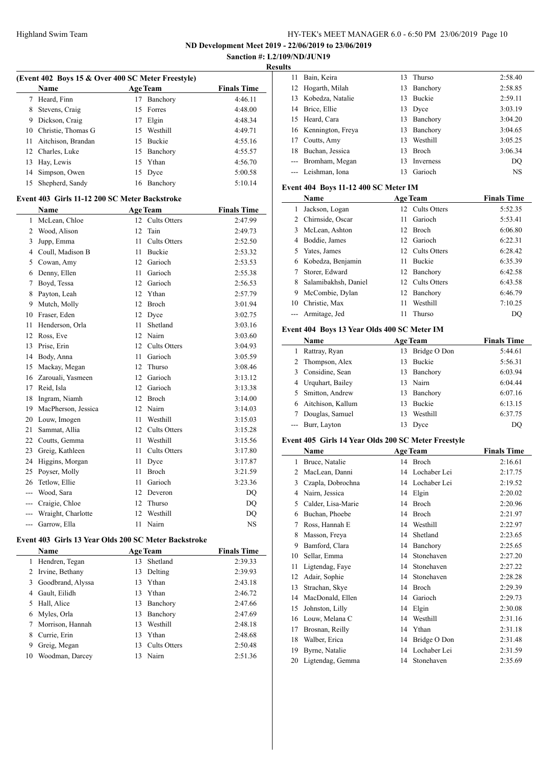**ND Development Meet 2019 - 22/06/2019 to 23/06/2019**

#### **Sanction #: L2/109/ND/JUN19 Results**

 $\equiv$ 

| (Event 402 Boys 15 & Over 400 SC Meter Freestyle) |                       |    |                 |                    |  |  |
|---------------------------------------------------|-----------------------|----|-----------------|--------------------|--|--|
|                                                   | <b>Name</b>           |    | <b>Age Team</b> | <b>Finals Time</b> |  |  |
| 7                                                 | Heard, Finn           | 17 | Banchory        | 4:46.11            |  |  |
| 8                                                 | Stevens, Craig        |    | 15 Forres       | 4:48.00            |  |  |
| 9                                                 | Dickson, Craig        | 17 | Elgin           | 4:48.34            |  |  |
|                                                   | 10 Christie, Thomas G | 15 | Westhill        | 4:49.71            |  |  |
| 11.                                               | Aitchison, Brandan    | 15 | Buckie          | 4:55.16            |  |  |
|                                                   | 12 Charles, Luke      |    | 15 Banchory     | 4:55.57            |  |  |
| 13                                                | Hay, Lewis            |    | 15 Ythan        | 4:56.70            |  |  |
| 14                                                | Simpson, Owen         |    | 15 Dyce         | 5:00.58            |  |  |
| 15                                                | Shepherd, Sandy       | 16 | Banchory        | 5:10.14            |  |  |

### **Event 403 Girls 11-12 200 SC Meter Backstroke**

|                | Name                | <b>Age Team</b> |                     | <b>Finals Time</b> |
|----------------|---------------------|-----------------|---------------------|--------------------|
| 1              | McLean, Chloe       | 12              | Cults Otters        | 2:47.99            |
| $\overline{2}$ | Wood, Alison        | 12              | Tain                | 2:49.73            |
| 3              | Jupp, Emma          | 11              | <b>Cults Otters</b> | 2:52.50            |
| 4              | Coull, Madison B    | 11              | <b>Buckie</b>       | 2:53.32            |
| 5              | Cowan, Amy          | 12              | Garioch             | 2:53.53            |
| 6              | Denny, Ellen        | 11              | Garioch             | 2:55.38            |
| 7              | Boyd, Tessa         | 12              | Garioch             | 2:56.53            |
| 8              | Payton, Leah        | 12              | Ythan               | 2:57.79            |
| 9              | Mutch, Molly        | 12              | <b>Broch</b>        | 3:01.94            |
| 10             | Fraser, Eden        | 12              | Dyce                | 3:02.75            |
| 11             | Henderson, Orla     | 11              | Shetland            | 3:03.16            |
| 12             | Ross, Eve           | 12              | Nairn               | 3:03.60            |
| 13             | Prise, Erin         | 12              | <b>Cults Otters</b> | 3:04.93            |
| 14             | Body, Anna          | 11              | Garioch             | 3:05.59            |
| 15             | Mackay, Megan       | 12              | Thurso              | 3:08.46            |
| 16             | Zarouali, Yasmeen   | 12              | Garioch             | 3:13.12            |
| 17             | Reid, Isla          | 12              | Garioch             | 3:13.38            |
| 18             | Ingram, Niamh       | 12              | <b>Broch</b>        | 3:14.00            |
| 19             | MacPherson, Jessica | 12              | Nairn               | 3:14.03            |
| 20             | Louw, Imogen        | 11              | Westhill            | 3:15.03            |
| 21             | Sammat, Allia       | 12              | <b>Cults Otters</b> | 3:15.28            |
| 22             | Coutts, Gemma       | 11              | Westhill            | 3:15.56            |
| 23             | Greig, Kathleen     | 11              | <b>Cults Otters</b> | 3:17.80            |
| 24             | Higgins, Morgan     | 11              | Dyce                | 3:17.87            |
| 25             | Poyser, Molly       | 11              | <b>Broch</b>        | 3:21.59            |
| 26             | Tetlow, Ellie       | 11              | Garioch             | 3:23.36            |
| $\overline{a}$ | Wood, Sara          | 12              | Deveron             | DQ                 |
| $---$          | Craigie, Chloe      | 12              | Thurso              | DQ                 |
| ---            | Wraight, Charlotte  | 12              | Westhill            | DQ                 |
| ---            | Garrow, Ella        | 11              | Nairn               | <b>NS</b>          |

# **Event 403 Girls 13 Year Olds 200 SC Meter Backstroke**

 $\overline{\phantom{0}}$ 

|    | <b>Name</b>       |    | <b>Age Team</b> | <b>Finals Time</b> |
|----|-------------------|----|-----------------|--------------------|
| 1  | Hendren, Tegan    | 13 | Shetland        | 2:39.33            |
| 2  | Irvine, Bethany   | 13 | Delting         | 2:39.93            |
| 3  | Goodbrand, Alyssa | 13 | Ythan           | 2:43.18            |
| 4  | Gault, Eilidh     | 13 | Ythan           | 2:46.72            |
| 5  | Hall, Alice       | 13 | Banchory        | 2:47.66            |
| 6  | Myles, Orla       | 13 | Banchory        | 2:47.69            |
|    | Morrison, Hannah  | 13 | Westhill        | 2:48.18            |
| 8  | Currie, Erin      | 13 | Ythan           | 2:48.68            |
| 9  | Greig, Megan      | 13 | Cults Otters    | 2:50.48            |
| 10 | Woodman, Darcey   | 13 | Nairn           | 2:51.36            |

| 11.      | Bain, Keira          | 13 | Thurso           | 2:58.40   |
|----------|----------------------|----|------------------|-----------|
|          | 12 Hogarth, Milah    | 13 | Banchory         | 2:58.85   |
|          | 13 Kobedza, Natalie  | 13 | <b>Buckie</b>    | 2:59.11   |
|          | 14 Brice, Ellie      |    | 13 Dyce          | 3:03.19   |
|          | 15 Heard, Cara       | 13 | Banchory         | 3:04.20   |
|          | 16 Kennington, Freya | 13 | Banchory         | 3:04.65   |
|          | 17 Coutts, Amy       | 13 | Westhill         | 3:05.25   |
| 18.      | Buchan, Jessica      | 13 | <b>Broch</b>     | 3:06.34   |
| $\cdots$ | Bromham, Megan       | 13 | <b>Inverness</b> | DO        |
|          | --- Leishman, Iona   | 13 | Garioch          | <b>NS</b> |

### **Event 404 Boys 11-12 400 SC Meter IM**

|    | Name                 |    | <b>Age Team</b> | <b>Finals Time</b> |
|----|----------------------|----|-----------------|--------------------|
| 1  | Jackson, Logan       |    | 12 Cults Otters | 5:52.35            |
| 2  | Chirnside, Oscar     | 11 | Garioch         | 5:53.41            |
| 3  | McLean, Ashton       |    | 12 Broch        | 6:06.80            |
| 4  | Boddie, James        |    | 12 Garioch      | 6:22.31            |
| 5  | Yates, James         |    | 12 Cults Otters | 6:28.42            |
| 6  | Kobedza, Benjamin    | 11 | <b>Buckie</b>   | 6:35.39            |
| 7  | Storer, Edward       |    | 12 Banchory     | 6:42.58            |
| 8  | Salamibakhsh, Daniel |    | 12 Cults Otters | 6:43.58            |
| 9  | McCombie, Dylan      |    | 12 Banchory     | 6:46.79            |
| 10 | Christie, Max        | 11 | Westhill        | 7:10.25            |
|    | Armitage, Jed        | 11 | Thurso          | DO                 |

## **Event 404 Boys 13 Year Olds 400 SC Meter IM**

|   | <b>Name</b>         | <b>Age Team</b> |               | <b>Finals Time</b> |
|---|---------------------|-----------------|---------------|--------------------|
| 1 | Rattray, Ryan       | 13              | Bridge O Don  | 5:44.61            |
|   | 2 Thompson, Alex    | 13              | Buckie        | 5:56.31            |
|   | 3 Considine, Sean   | 13              | Banchory      | 6:03.94            |
|   | 4 Urquhart, Bailey  |                 | 13 Nairn      | 6:04.44            |
|   | 5 Smitton, Andrew   |                 | 13 Banchory   | 6:07.16            |
|   | 6 Aitchison, Kallum | 13              | <b>Buckie</b> | 6:13.15            |
|   | Douglas, Samuel     | 13              | Westhill      | 6:37.75            |
|   | --- Burr, Layton    |                 | 13 Dyce       | DO                 |

# **Event 405 Girls 14 Year Olds 200 SC Meter Freestyle**

|    | Name               |    | <b>Age Team</b> | <b>Finals Time</b> |
|----|--------------------|----|-----------------|--------------------|
| 1  | Bruce, Natalie     |    | 14 Broch        | 2:16.61            |
| 2  | MacLean, Danni     | 14 | Lochaber Lei    | 2:17.75            |
| 3  | Czapla, Dobrochna  | 14 | Lochaber Lei    | 2:19.52            |
| 4  | Nairn, Jessica     | 14 | Elgin           | 2:20.02            |
| 5  | Calder, Lisa-Marie | 14 | Broch           | 2:20.96            |
| 6  | Buchan, Phoebe     | 14 | <b>Broch</b>    | 2:21.97            |
| 7  | Ross, Hannah E     | 14 | Westhill        | 2:22.97            |
| 8  | Masson, Freya      | 14 | Shetland        | 2:23.65            |
| 9  | Bamford, Clara     | 14 | Banchory        | 2:25.65            |
| 10 | Sellar, Emma       | 14 | Stonehaven      | 2:27.20            |
| 11 | Ligtendag, Faye    | 14 | Stonehaven      | 2:27.22            |
| 12 | Adair, Sophie      | 14 | Stonehaven      | 2:28.28            |
| 13 | Strachan, Skye     | 14 | Broch           | 2:29.39            |
| 14 | MacDonald, Ellen   | 14 | Garioch         | 2:29.73            |
| 15 | Johnston, Lilly    | 14 | Elgin           | 2:30.08            |
| 16 | Louw, Melana C     | 14 | Westhill        | 2:31.16            |
| 17 | Brosnan, Reilly    | 14 | Ythan           | 2:31.18            |
| 18 | Walber, Erica      | 14 | Bridge O Don    | 2:31.48            |
| 19 | Byrne, Natalie     | 14 | Lochaber Lei    | 2:31.59            |
| 20 | Ligtendag, Gemma   | 14 | Stonehaven      | 2:35.69            |